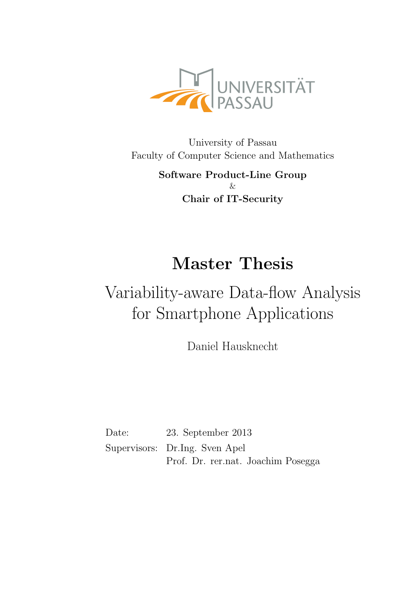

University of Passau Faculty of Computer Science and Mathematics

> Software Product-Line Group  $\chi$ Chair of IT-Security

# Master Thesis

# Variability-aware Data-flow Analysis for Smartphone Applications

Daniel Hausknecht

Date: 23. September 2013 Supervisors: Dr.Ing. Sven Apel Prof. Dr. rer.nat. Joachim Posegga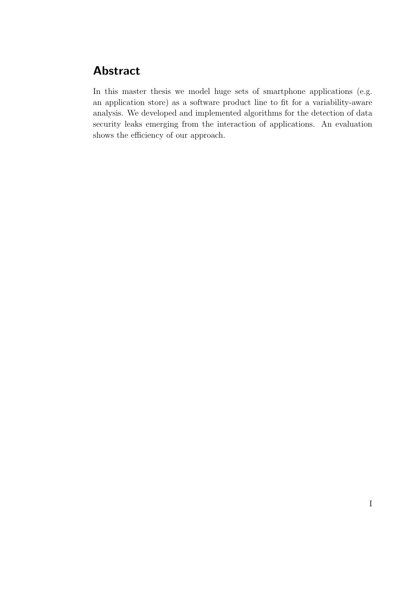## Abstract

In this master thesis we model huge sets of smartphone applications (e.g. an application store) as a software product line to fit for a variability-aware analysis. We developed and implemented algorithms for the detection of data security leaks emerging from the interaction of applications. An evaluation shows the efficiency of our approach.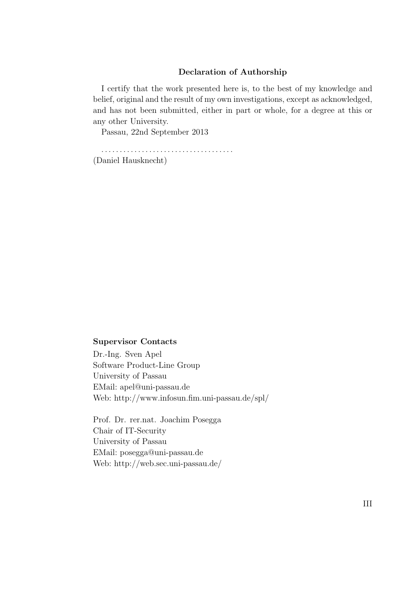#### Declaration of Authorship

I certify that the work presented here is, to the best of my knowledge and belief, original and the result of my own investigations, except as acknowledged, and has not been submitted, either in part or whole, for a degree at this or any other University.

Passau, 22nd September 2013

. . . . . . . . . . . . . . . . . . . . . . . . . . . . . . . . . . . . (Daniel Hausknecht)

#### Supervisor Contacts

Dr.-Ing. Sven Apel Software Product-Line Group University of Passau EMail: apel@uni-passau.de Web: http://www.infosun.fim.uni-passau.de/spl/

Prof. Dr. rer.nat. Joachim Posegga Chair of IT-Security University of Passau EMail: posegga@uni-passau.de Web: http://web.sec.uni-passau.de/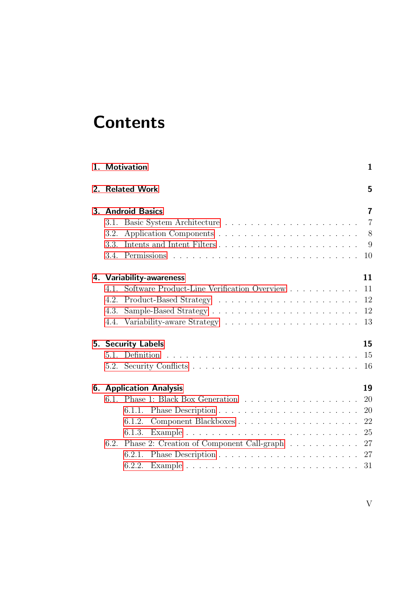# **Contents**

|    |                   |                                                                                              | 5              |  |  |  |  |  |  |  |
|----|-------------------|----------------------------------------------------------------------------------------------|----------------|--|--|--|--|--|--|--|
|    |                   | 2. Related Work                                                                              |                |  |  |  |  |  |  |  |
|    | 3. Android Basics |                                                                                              |                |  |  |  |  |  |  |  |
|    | 3.1.              |                                                                                              | $\overline{7}$ |  |  |  |  |  |  |  |
|    | 3.2.              |                                                                                              | - 8            |  |  |  |  |  |  |  |
|    | 3.3.              | Intents and Intent Filters                                                                   | 9              |  |  |  |  |  |  |  |
|    | 3.4.              | 10                                                                                           |                |  |  |  |  |  |  |  |
|    |                   | 11<br>4. Variability-awareness                                                               |                |  |  |  |  |  |  |  |
|    | 4.1               | Software Product-Line Verification Overview<br>11                                            |                |  |  |  |  |  |  |  |
|    | 4.2.              | 12                                                                                           |                |  |  |  |  |  |  |  |
|    | 4.3.              | 12                                                                                           |                |  |  |  |  |  |  |  |
|    | 4.4.              | 13                                                                                           |                |  |  |  |  |  |  |  |
|    |                   | 15<br><b>5. Security Labels</b>                                                              |                |  |  |  |  |  |  |  |
|    | 5.1.              | 15                                                                                           |                |  |  |  |  |  |  |  |
|    |                   | 16                                                                                           |                |  |  |  |  |  |  |  |
| 6. |                   | <b>Application Analysis</b><br>19                                                            |                |  |  |  |  |  |  |  |
|    | 6.1.              | 20                                                                                           |                |  |  |  |  |  |  |  |
|    |                   | 20<br>6.1.1.                                                                                 |                |  |  |  |  |  |  |  |
|    |                   | 22<br>6.1.2.                                                                                 |                |  |  |  |  |  |  |  |
|    |                   | Example $\ldots \ldots \ldots \ldots \ldots \ldots \ldots \ldots \ldots \ldots 25$<br>6.1.3. |                |  |  |  |  |  |  |  |
|    | 6.2.              | Phase 2: Creation of Component Call-graph 27                                                 |                |  |  |  |  |  |  |  |
|    |                   |                                                                                              |                |  |  |  |  |  |  |  |
|    |                   | 6.2.1.                                                                                       |                |  |  |  |  |  |  |  |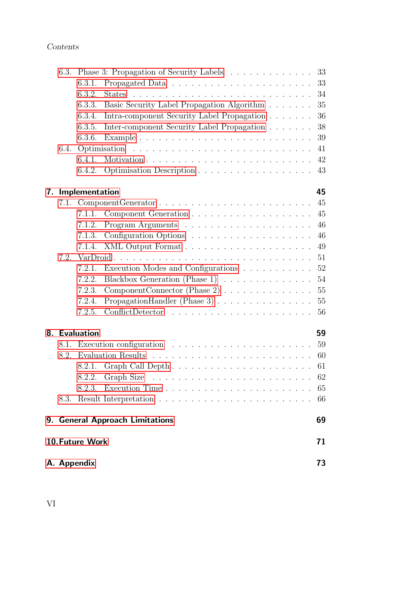|    | 6.3. |                 |                                                                            | 33     |
|----|------|-----------------|----------------------------------------------------------------------------|--------|
|    |      | 6.3.1.          |                                                                            | 33     |
|    |      | 6.3.2.          |                                                                            | 34     |
|    |      | 6.3.3.          | Basic Security Label Propagation Algorithm                                 | 35     |
|    |      | 6.3.4.          | Intra-component Security Label Propagation                                 | 36     |
|    |      | 6.3.5.          | Inter-component Security Label Propagation                                 | 38     |
|    |      | 6.3.6.          |                                                                            | 39     |
|    | 6.4. |                 | Optimisation                                                               | 41     |
|    |      | 6.4.1.          |                                                                            | 42     |
|    |      | 6.4.2.          |                                                                            | 43     |
| 7. |      | Implementation  |                                                                            | 45     |
|    | 7.1. |                 |                                                                            | 45     |
|    |      | 7.1.1.          |                                                                            | 45     |
|    |      | 7.1.2.          |                                                                            | 46     |
|    |      | 7.1.3.          |                                                                            | 46     |
|    |      | 7.1.4.          |                                                                            | 49     |
|    | 7.2. |                 | VarDroid                                                                   | 51     |
|    |      | 7.2.1.          | Execution Modes and Configurations                                         | 52     |
|    |      | 7.2.2.          | Blackbox Generation (Phase 1)                                              | 54     |
|    |      | 7.2.3.          |                                                                            | 55     |
|    |      | 7.2.4.          | Propagation Handler (Phase $3)$                                            | 55     |
|    |      | 7.2.5.          |                                                                            | $56\,$ |
|    |      | 8. Evaluation   |                                                                            | 59     |
|    | 8.1. |                 | Execution configuration $\ldots \ldots \ldots \ldots \ldots \ldots \ldots$ | 59     |
|    | 8.2. |                 |                                                                            | 60     |
|    |      | 8.2.1.          |                                                                            | 61     |
|    |      | 8.2.2.          |                                                                            | 62     |
|    |      |                 |                                                                            | 65     |
|    |      |                 |                                                                            | 66     |
|    |      |                 | 9. General Approach Limitations                                            | 69     |
|    |      | 10. Future Work |                                                                            | 71     |
|    |      | A. Appendix     |                                                                            | 73     |

VI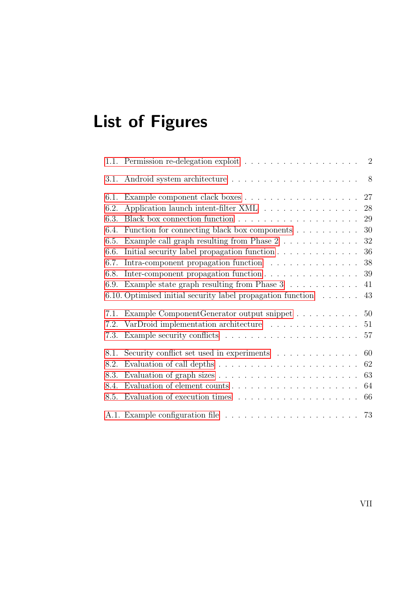# List of Figures

|      | 1.1. Permission re-delegation exploit $\ldots \ldots \ldots \ldots \ldots \ldots$ 2 |
|------|-------------------------------------------------------------------------------------|
| 3.1. | 8                                                                                   |
| 6.1. | 27                                                                                  |
| 6.2. | Application launch intent-filter XML<br>28                                          |
| 6.3. | $29\,$                                                                              |
| 6.4. | Function for connecting black box components<br>30                                  |
| 6.5. | Example call graph resulting from Phase $2 \ldots \ldots \ldots$<br>32              |
| 6.6. | 36                                                                                  |
| 6.7. | Intra-component propagation function<br>38                                          |
| 6.8. | Inter-component propagation function<br>39                                          |
| 6.9. | Example state graph resulting from Phase $3 \ldots \ldots \ldots$<br>41             |
|      | 6.10. Optimised initial security label propagation function<br>43                   |
| 7.1. | Example ComponentGenerator output snippet<br>50                                     |
| 7.2. | VarDroid implementation architecture<br>51                                          |
| 7.3. | 57                                                                                  |
| 8.1. | Security conflict set used in experiments<br>60                                     |
| 8.2. | 62                                                                                  |
| 8.3. | 63                                                                                  |
| 8.4. | 64                                                                                  |
| 8.5. | Evaluation of execution times $\ldots \ldots \ldots \ldots \ldots \ldots$<br>66     |
|      |                                                                                     |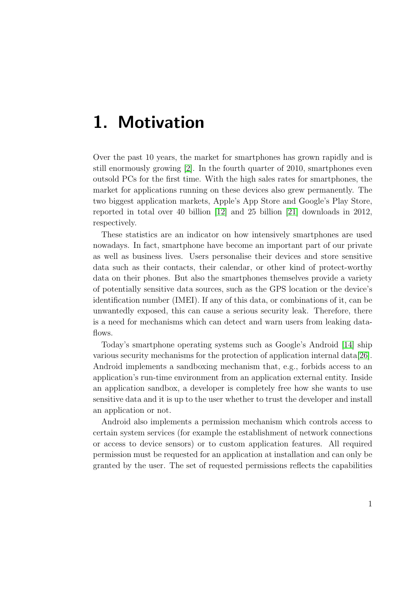## <span id="page-10-0"></span>1. Motivation

Over the past 10 years, the market for smartphones has grown rapidly and is still enormously growing [\[2\]](#page-84-0). In the fourth quarter of 2010, smartphones even outsold PCs for the first time. With the high sales rates for smartphones, the market for applications running on these devices also grew permanently. The two biggest application markets, Apple's App Store and Google's Play Store, reported in total over 40 billion [\[12\]](#page-85-0) and 25 billion [\[21\]](#page-86-0) downloads in 2012, respectively.

These statistics are an indicator on how intensively smartphones are used nowadays. In fact, smartphone have become an important part of our private as well as business lives. Users personalise their devices and store sensitive data such as their contacts, their calendar, or other kind of protect-worthy data on their phones. But also the smartphones themselves provide a variety of potentially sensitive data sources, such as the GPS location or the device's identification number (IMEI). If any of this data, or combinations of it, can be unwantedly exposed, this can cause a serious security leak. Therefore, there is a need for mechanisms which can detect and warn users from leaking dataflows.

Today's smartphone operating systems such as Google's Android [\[14\]](#page-85-1) ship various security mechanisms for the protection of application internal data[\[26\]](#page-87-0). Android implements a sandboxing mechanism that, e.g., forbids access to an application's run-time environment from an application external entity. Inside an application sandbox, a developer is completely free how she wants to use sensitive data and it is up to the user whether to trust the developer and install an application or not.

Android also implements a permission mechanism which controls access to certain system services (for example the establishment of network connections or access to device sensors) or to custom application features. All required permission must be requested for an application at installation and can only be granted by the user. The set of requested permissions reflects the capabilities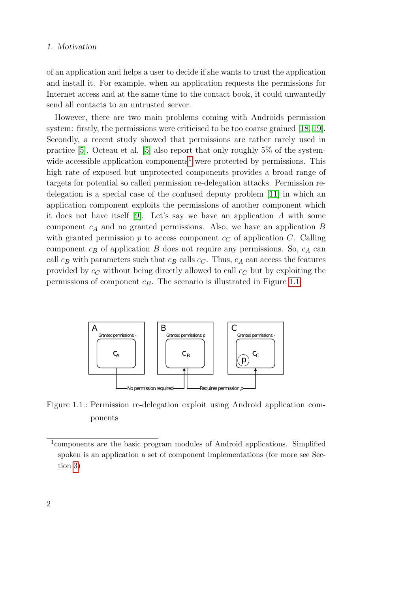#### 1. Motivation

of an application and helps a user to decide if she wants to trust the application and install it. For example, when an application requests the permissions for Internet access and at the same time to the contact book, it could unwantedly send all contacts to an untrusted server.

However, there are two main problems coming with Androids permission system: firstly, the permissions were criticised to be too coarse grained [\[18,](#page-86-1) [19\]](#page-86-2). Secondly, a recent study showed that permissions are rather rarely used in practice [\[5\]](#page-84-1). Octeau et al. [\[5\]](#page-84-1) also report that only roughly 5% of the system-wide accessible application components<sup>[1](#page-11-1)</sup> were protected by permissions. This high rate of exposed but unprotected components provides a broad range of targets for potential so called permission re-delegation attacks. Permission redelegation is a special case of the confused deputy problem [\[11\]](#page-85-2) in which an application component exploits the permissions of another component which it does not have itself [\[9\]](#page-85-3). Let's say we have an application  $A$  with some component  $c_A$  and no granted permissions. Also, we have an application  $B$ with granted permission  $p$  to access component  $c<sub>C</sub>$  of application C. Calling component  $c_B$  of application B does not require any permissions. So,  $c_A$  can call  $c_B$  with parameters such that  $c_B$  calls  $c_C$ . Thus,  $c_A$  can access the features provided by  $c<sub>C</sub>$  without being directly allowed to call  $c<sub>C</sub>$  but by exploiting the permissions of component  $c_B$ . The scenario is illustrated in Figure [1.1.](#page-11-0)

<span id="page-11-0"></span>

Figure 1.1.: Permission re-delegation exploit using Android application components

<span id="page-11-1"></span><sup>1</sup> components are the basic program modules of Android applications. Simplified spoken is an application a set of component implementations (for more see Section [3\)](#page-16-0)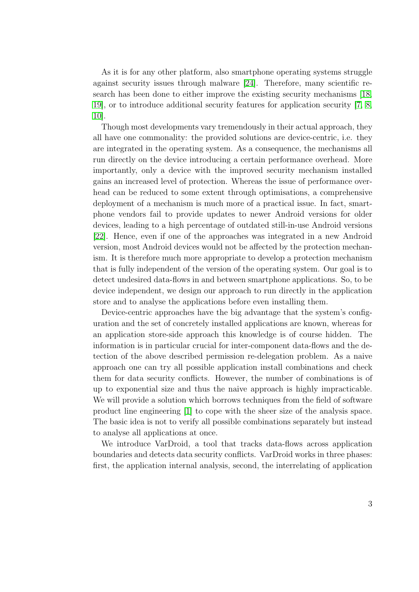As it is for any other platform, also smartphone operating systems struggle against security issues through malware [\[24\]](#page-86-3). Therefore, many scientific research has been done to either improve the existing security mechanisms [\[18,](#page-86-1) [19\]](#page-86-2), or to introduce additional security features for application security [\[7,](#page-84-2) [8,](#page-85-4) [10\]](#page-85-5).

Though most developments vary tremendously in their actual approach, they all have one commonality: the provided solutions are device-centric, i.e. they are integrated in the operating system. As a consequence, the mechanisms all run directly on the device introducing a certain performance overhead. More importantly, only a device with the improved security mechanism installed gains an increased level of protection. Whereas the issue of performance overhead can be reduced to some extent through optimisations, a comprehensive deployment of a mechanism is much more of a practical issue. In fact, smartphone vendors fail to provide updates to newer Android versions for older devices, leading to a high percentage of outdated still-in-use Android versions [\[22\]](#page-86-4). Hence, even if one of the approaches was integrated in a new Android version, most Android devices would not be affected by the protection mechanism. It is therefore much more appropriate to develop a protection mechanism that is fully independent of the version of the operating system. Our goal is to detect undesired data-flows in and between smartphone applications. So, to be device independent, we design our approach to run directly in the application store and to analyse the applications before even installing them.

Device-centric approaches have the big advantage that the system's configuration and the set of concretely installed applications are known, whereas for an application store-side approach this knowledge is of course hidden. The information is in particular crucial for inter-component data-flows and the detection of the above described permission re-delegation problem. As a naive approach one can try all possible application install combinations and check them for data security conflicts. However, the number of combinations is of up to exponential size and thus the naive approach is highly impracticable. We will provide a solution which borrows techniques from the field of software product line engineering [\[1\]](#page-84-3) to cope with the sheer size of the analysis space. The basic idea is not to verify all possible combinations separately but instead to analyse all applications at once.

We introduce VarDroid, a tool that tracks data-flows across application boundaries and detects data security conflicts. VarDroid works in three phases: first, the application internal analysis, second, the interrelating of application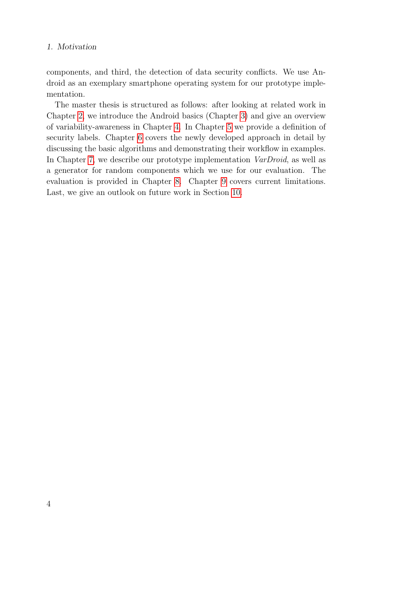#### 1. Motivation

components, and third, the detection of data security conflicts. We use Android as an exemplary smartphone operating system for our prototype implementation.

The master thesis is structured as follows: after looking at related work in Chapter [2,](#page-14-0) we introduce the Android basics (Chapter [3\)](#page-16-0) and give an overview of variability-awareness in Chapter [4.](#page-20-0) In Chapter [5](#page-24-0) we provide a definition of security labels. Chapter [6](#page-28-0) covers the newly developed approach in detail by discussing the basic algorithms and demonstrating their workflow in examples. In Chapter [7,](#page-54-0) we describe our prototype implementation *VarDroid*, as well as a generator for random components which we use for our evaluation. The evaluation is provided in Chapter [8.](#page-68-0) Chapter [9](#page-78-0) covers current limitations. Last, we give an outlook on future work in Section [10.](#page-80-0)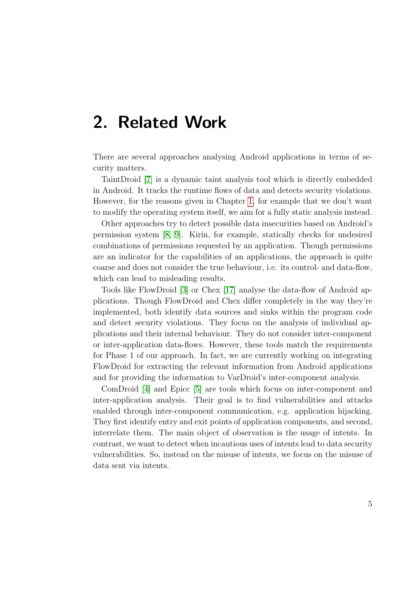## <span id="page-14-0"></span>2. Related Work

There are several approaches analysing Android applications in terms of security matters.

TaintDroid [\[7\]](#page-84-2) is a dynamic taint analysis tool which is directly embedded in Android. It tracks the runtime flows of data and detects security violations. However, for the reasons given in Chapter [1,](#page-10-0) for example that we don't want to modify the operating system itself, we aim for a fully static analysis instead.

Other approaches try to detect possible data insecurities based on Android's permission system [\[8,](#page-85-4) [9\]](#page-85-3). Kirin, for example, statically checks for undesired combinations of permissions requested by an application. Though permissions are an indicator for the capabilities of an applications, the approach is quite coarse and does not consider the true behaviour, i.e. its control- and data-flow, which can lead to misleading results.

Tools like FlowDroid [\[3\]](#page-84-4) or Chex [\[17\]](#page-86-5) analyse the data-flow of Android applications. Though FlowDroid and Chex differ completely in the way they're implemented, both identify data sources and sinks within the program code and detect security violations. They focus on the analysis of individual applications and their internal behaviour. They do not consider inter-component or inter-application data-flows. However, these tools match the requirements for Phase 1 of our approach. In fact, we are currently working on integrating FlowDroid for extracting the relevant information from Android applications and for providing the information to VarDroid's inter-component analysis.

ComDroid [\[4\]](#page-84-5) and Epicc [\[5\]](#page-84-1) are tools which focus on inter-component and inter-application analysis. Their goal is to find vulnerabilities and attacks enabled through inter-component communication, e.g. application hijacking. They first identify entry and exit points of application components, and second, interrelate them. The main object of observation is the usage of intents. In contrast, we want to detect when incautious uses of intents lead to data security vulnerabilities. So, instead on the misuse of intents, we focus on the misuse of data sent via intents.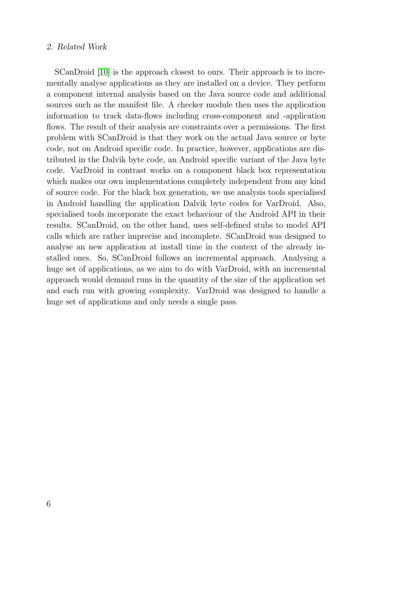#### 2. Related Work

SCanDroid [\[10\]](#page-85-5) is the approach closest to ours. Their approach is to incrementally analyse applications as they are installed on a device. They perform a component internal analysis based on the Java source code and additional sources such as the manifest file. A checker module then uses the application information to track data-flows including cross-component and -application flows. The result of their analysis are constraints over a permissions. The first problem with SCanDroid is that they work on the actual Java source or byte code, not on Android specific code. In practice, however, applications are distributed in the Dalvik byte code, an Android specific variant of the Java byte code. VarDroid in contrast works on a component black box representation which makes our own implementations completely independent from any kind of source code. For the black box generation, we use analysis tools specialised in Android handling the application Dalvik byte codes for VarDroid. Also, specialised tools incorporate the exact behaviour of the Android API in their results. SCanDroid, on the other hand, uses self-defined stubs to model API calls which are rather imprecise and incomplete. SCanDroid was designed to analyse an new application at install time in the context of the already installed ones. So, SCanDroid follows an incremental approach. Analysing a huge set of applications, as we aim to do with VarDroid, with an incremental approach would demand runs in the quantity of the size of the application set and each run with growing complexity. VarDroid was designed to handle a huge set of applications and only needs a single pass.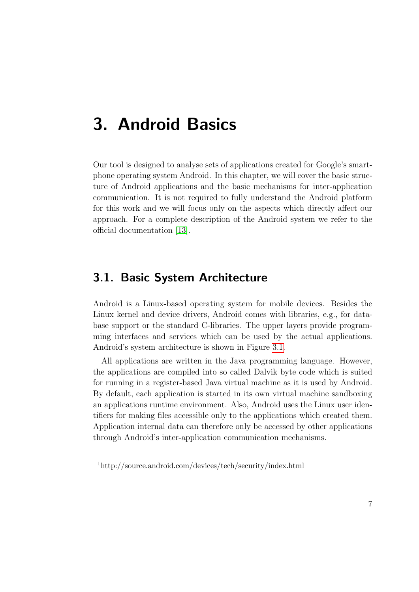## <span id="page-16-0"></span>3. Android Basics

Our tool is designed to analyse sets of applications created for Google's smartphone operating system Android. In this chapter, we will cover the basic structure of Android applications and the basic mechanisms for inter-application communication. It is not required to fully understand the Android platform for this work and we will focus only on the aspects which directly affect our approach. For a complete description of the Android system we refer to the official documentation [\[13\]](#page-85-6).

## <span id="page-16-1"></span>3.1. Basic System Architecture

Android is a Linux-based operating system for mobile devices. Besides the Linux kernel and device drivers, Android comes with libraries, e.g., for database support or the standard C-libraries. The upper layers provide programming interfaces and services which can be used by the actual applications. Android's system architecture is shown in Figure [3.1.](#page-17-1)

All applications are written in the Java programming language. However, the applications are compiled into so called Dalvik byte code which is suited for running in a register-based Java virtual machine as it is used by Android. By default, each application is started in its own virtual machine sandboxing an applications runtime environment. Also, Android uses the Linux user identifiers for making files accessible only to the applications which created them. Application internal data can therefore only be accessed by other applications through Android's inter-application communication mechanisms.

<span id="page-16-2"></span><sup>1</sup>http://source.android.com/devices/tech/security/index.html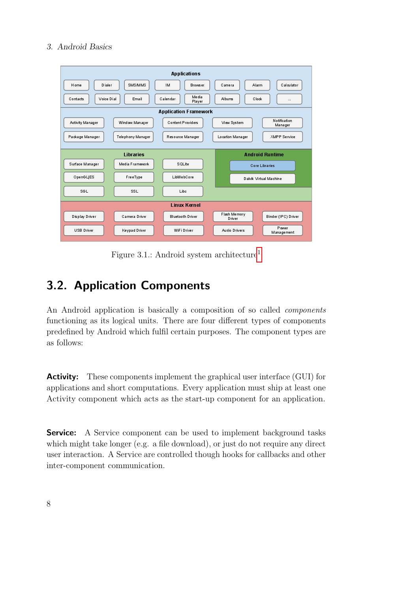#### 3. Android Basics

<span id="page-17-1"></span>

| <b>Applications</b>                        |                   |                              |                        |                         |  |  |  |  |  |  |  |
|--------------------------------------------|-------------------|------------------------------|------------------------|-------------------------|--|--|--|--|--|--|--|
| H ome<br>D ialer                           | <b>SMS/MMS</b>    | <b>IM</b><br>Brows er        | Alarm<br>Camera        | Calculator              |  |  |  |  |  |  |  |
| Voice Dial<br>Contacts                     | Email             | Me dia<br>Calendar<br>Player | Albums<br>Clock        | $\cdots$                |  |  |  |  |  |  |  |
| <b>Application Framework</b>               |                   |                              |                        |                         |  |  |  |  |  |  |  |
| Activity Manager                           | Window Manager    | <b>Content Providers</b>     | View System            | Notification<br>Manager |  |  |  |  |  |  |  |
| Package Manager                            | Telephony Manager | Resource Manager             | Location Manager       | <b>XMPP Service</b>     |  |  |  |  |  |  |  |
| <b>Android Runtime</b><br><b>Libraries</b> |                   |                              |                        |                         |  |  |  |  |  |  |  |
|                                            |                   |                              |                        |                         |  |  |  |  |  |  |  |
| Surface Manager                            | Media Framework   | SOLite                       |                        | <b>Core Libraries</b>   |  |  |  |  |  |  |  |
| OpenGLJES                                  | FreeType          | LibWebCore                   |                        | Dalvk Virtual Machine   |  |  |  |  |  |  |  |
| SGL                                        | SSL               | Libc                         |                        |                         |  |  |  |  |  |  |  |
| <b>Linux Kernel</b>                        |                   |                              |                        |                         |  |  |  |  |  |  |  |
| Display Driver                             | Camera Driver     | <b>Bluetooth Driver</b>      | Flash Memory<br>Driver | Binder (IPC) Driver     |  |  |  |  |  |  |  |
| <b>USB Driver</b>                          | Keypad Driver     | WiFi Driver                  | Audio Drivers          | Power<br>Management     |  |  |  |  |  |  |  |

Figure 3.1.: Android system architecture[1](#page-16-2)

## <span id="page-17-0"></span>3.2. Application Components

An Android application is basically a composition of so called components functioning as its logical units. There are four different types of components predefined by Android which fulfil certain purposes. The component types are as follows:

Activity: These components implement the graphical user interface (GUI) for applications and short computations. Every application must ship at least one Activity component which acts as the start-up component for an application.

**Service:** A Service component can be used to implement background tasks which might take longer (e.g. a file download), or just do not require any direct user interaction. A Service are controlled though hooks for callbacks and other inter-component communication.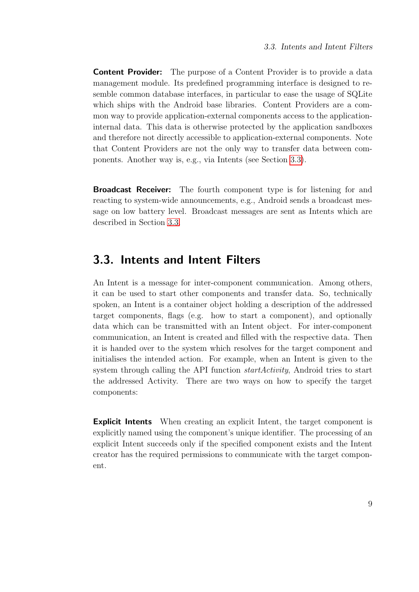**Content Provider:** The purpose of a Content Provider is to provide a data management module. Its predefined programming interface is designed to resemble common database interfaces, in particular to ease the usage of SQLite which ships with the Android base libraries. Content Providers are a common way to provide application-external components access to the applicationinternal data. This data is otherwise protected by the application sandboxes and therefore not directly accessible to application-external components. Note that Content Providers are not the only way to transfer data between components. Another way is, e.g., via Intents (see Section [3.3\)](#page-18-0).

**Broadcast Receiver:** The fourth component type is for listening for and reacting to system-wide announcements, e.g., Android sends a broadcast message on low battery level. Broadcast messages are sent as Intents which are described in Section [3.3.](#page-18-0)

## <span id="page-18-0"></span>3.3. Intents and Intent Filters

An Intent is a message for inter-component communication. Among others, it can be used to start other components and transfer data. So, technically spoken, an Intent is a container object holding a description of the addressed target components, flags (e.g. how to start a component), and optionally data which can be transmitted with an Intent object. For inter-component communication, an Intent is created and filled with the respective data. Then it is handed over to the system which resolves for the target component and initialises the intended action. For example, when an Intent is given to the system through calling the API function *startActivity*, Android tries to start the addressed Activity. There are two ways on how to specify the target components:

Explicit Intents When creating an explicit Intent, the target component is explicitly named using the component's unique identifier. The processing of an explicit Intent succeeds only if the specified component exists and the Intent creator has the required permissions to communicate with the target component.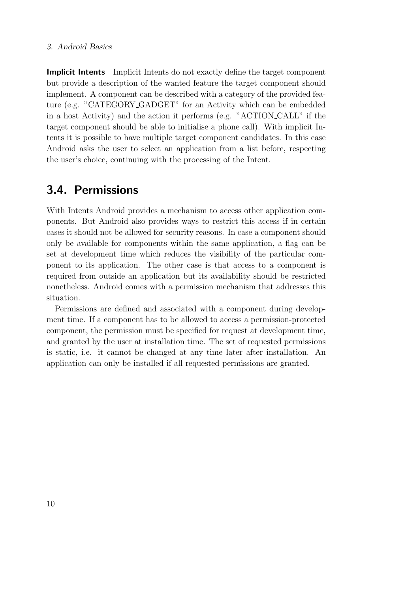#### 3. Android Basics

Implicit Intents Implicit Intents do not exactly define the target component but provide a description of the wanted feature the target component should implement. A component can be described with a category of the provided feature (e.g. "CATEGORY GADGET" for an Activity which can be embedded in a host Activity) and the action it performs (e.g. "ACTION CALL" if the target component should be able to initialise a phone call). With implicit Intents it is possible to have multiple target component candidates. In this case Android asks the user to select an application from a list before, respecting the user's choice, continuing with the processing of the Intent.

### <span id="page-19-0"></span>3.4. Permissions

With Intents Android provides a mechanism to access other application components. But Android also provides ways to restrict this access if in certain cases it should not be allowed for security reasons. In case a component should only be available for components within the same application, a flag can be set at development time which reduces the visibility of the particular component to its application. The other case is that access to a component is required from outside an application but its availability should be restricted nonetheless. Android comes with a permission mechanism that addresses this situation.

Permissions are defined and associated with a component during development time. If a component has to be allowed to access a permission-protected component, the permission must be specified for request at development time, and granted by the user at installation time. The set of requested permissions is static, i.e. it cannot be changed at any time later after installation. An application can only be installed if all requested permissions are granted.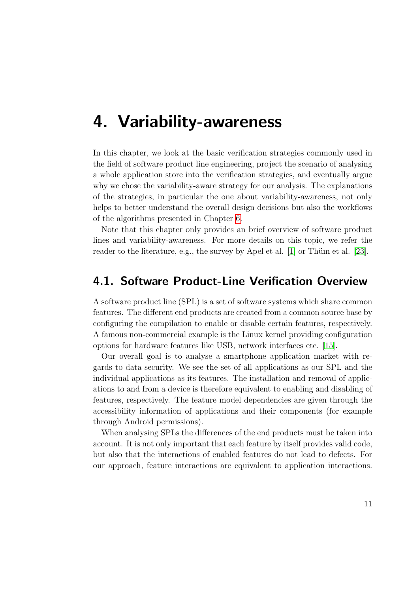## <span id="page-20-0"></span>4. Variability-awareness

In this chapter, we look at the basic verification strategies commonly used in the field of software product line engineering, project the scenario of analysing a whole application store into the verification strategies, and eventually argue why we chose the variability-aware strategy for our analysis. The explanations of the strategies, in particular the one about variability-awareness, not only helps to better understand the overall design decisions but also the workflows of the algorithms presented in Chapter [6.](#page-28-0)

Note that this chapter only provides an brief overview of software product lines and variability-awareness. For more details on this topic, we refer the reader to the literature, e.g., the survey by Apel et al.  $[1]$  or Thüm et al.  $[23]$ .

## <span id="page-20-1"></span>4.1. Software Product-Line Verification Overview

A software product line (SPL) is a set of software systems which share common features. The different end products are created from a common source base by configuring the compilation to enable or disable certain features, respectively. A famous non-commercial example is the Linux kernel providing configuration options for hardware features like USB, network interfaces etc. [\[15\]](#page-85-7).

Our overall goal is to analyse a smartphone application market with regards to data security. We see the set of all applications as our SPL and the individual applications as its features. The installation and removal of applications to and from a device is therefore equivalent to enabling and disabling of features, respectively. The feature model dependencies are given through the accessibility information of applications and their components (for example through Android permissions).

When analysing SPLs the differences of the end products must be taken into account. It is not only important that each feature by itself provides valid code, but also that the interactions of enabled features do not lead to defects. For our approach, feature interactions are equivalent to application interactions.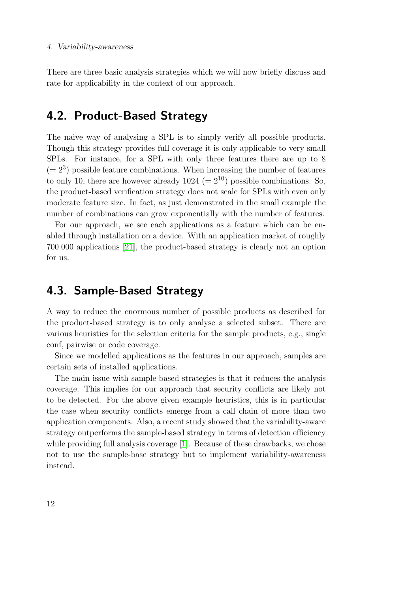There are three basic analysis strategies which we will now briefly discuss and rate for applicability in the context of our approach.

## <span id="page-21-0"></span>4.2. Product-Based Strategy

The naive way of analysing a SPL is to simply verify all possible products. Though this strategy provides full coverage it is only applicable to very small SPLs. For instance, for a SPL with only three features there are up to 8  $(= 2<sup>3</sup>)$  possible feature combinations. When increasing the number of features to only 10, there are however already  $1024 (= 2^{10})$  possible combinations. So, the product-based verification strategy does not scale for SPLs with even only moderate feature size. In fact, as just demonstrated in the small example the number of combinations can grow exponentially with the number of features.

For our approach, we see each applications as a feature which can be enabled through installation on a device. With an application market of roughly 700.000 applications [\[21\]](#page-86-0), the product-based strategy is clearly not an option for us.

## <span id="page-21-1"></span>4.3. Sample-Based Strategy

A way to reduce the enormous number of possible products as described for the product-based strategy is to only analyse a selected subset. There are various heuristics for the selection criteria for the sample products, e.g., single conf, pairwise or code coverage.

Since we modelled applications as the features in our approach, samples are certain sets of installed applications.

The main issue with sample-based strategies is that it reduces the analysis coverage. This implies for our approach that security conflicts are likely not to be detected. For the above given example heuristics, this is in particular the case when security conflicts emerge from a call chain of more than two application components. Also, a recent study showed that the variability-aware strategy outperforms the sample-based strategy in terms of detection efficiency while providing full analysis coverage [\[1\]](#page-84-3). Because of these drawbacks, we chose not to use the sample-base strategy but to implement variability-awareness instead.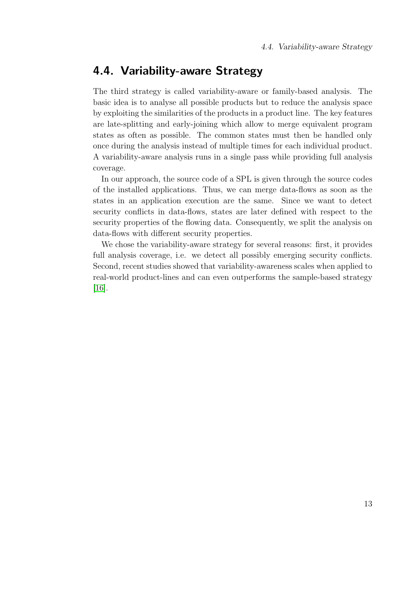## <span id="page-22-0"></span>4.4. Variability-aware Strategy

The third strategy is called variability-aware or family-based analysis. The basic idea is to analyse all possible products but to reduce the analysis space by exploiting the similarities of the products in a product line. The key features are late-splitting and early-joining which allow to merge equivalent program states as often as possible. The common states must then be handled only once during the analysis instead of multiple times for each individual product. A variability-aware analysis runs in a single pass while providing full analysis coverage.

In our approach, the source code of a SPL is given through the source codes of the installed applications. Thus, we can merge data-flows as soon as the states in an application execution are the same. Since we want to detect security conflicts in data-flows, states are later defined with respect to the security properties of the flowing data. Consequently, we split the analysis on data-flows with different security properties.

We chose the variability-aware strategy for several reasons: first, it provides full analysis coverage, i.e. we detect all possibly emerging security conflicts. Second, recent studies showed that variability-awareness scales when applied to real-world product-lines and can even outperforms the sample-based strategy [\[16\]](#page-85-8).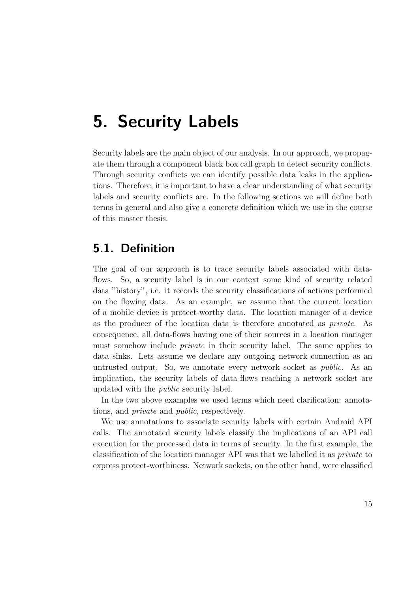## <span id="page-24-0"></span>5. Security Labels

Security labels are the main object of our analysis. In our approach, we propagate them through a component black box call graph to detect security conflicts. Through security conflicts we can identify possible data leaks in the applications. Therefore, it is important to have a clear understanding of what security labels and security conflicts are. In the following sections we will define both terms in general and also give a concrete definition which we use in the course of this master thesis.

## <span id="page-24-1"></span>5.1. Definition

The goal of our approach is to trace security labels associated with dataflows. So, a security label is in our context some kind of security related data "history", i.e. it records the security classifications of actions performed on the flowing data. As an example, we assume that the current location of a mobile device is protect-worthy data. The location manager of a device as the producer of the location data is therefore annotated as private. As consequence, all data-flows having one of their sources in a location manager must somehow include private in their security label. The same applies to data sinks. Lets assume we declare any outgoing network connection as an untrusted output. So, we annotate every network socket as public. As an implication, the security labels of data-flows reaching a network socket are updated with the public security label.

In the two above examples we used terms which need clarification: annotations, and private and public, respectively.

We use annotations to associate security labels with certain Android API calls. The annotated security labels classify the implications of an API call execution for the processed data in terms of security. In the first example, the classification of the location manager API was that we labelled it as private to express protect-worthiness. Network sockets, on the other hand, were classified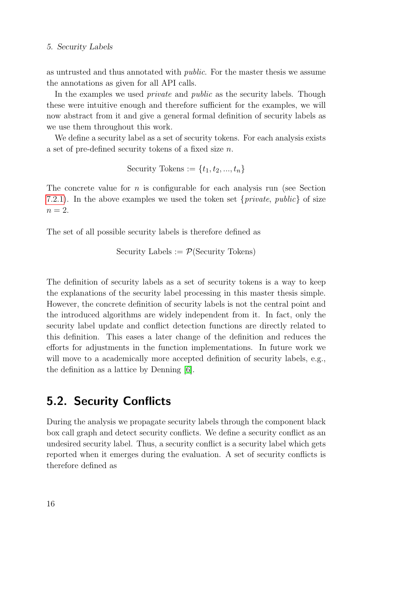#### 5. Security Labels

as untrusted and thus annotated with public. For the master thesis we assume the annotations as given for all API calls.

In the examples we used *private* and *public* as the security labels. Though these were intuitive enough and therefore sufficient for the examples, we will now abstract from it and give a general formal definition of security labels as we use them throughout this work.

We define a security label as a set of security tokens. For each analysis exists a set of pre-defined security tokens of a fixed size n.

Security Tokens := 
$$
\{t_1, t_2, ..., t_n\}
$$

The concrete value for  $n$  is configurable for each analysis run (see Section [7.2.1\)](#page-61-0). In the above examples we used the token set  $\{private, public\}$  of size  $n=2$ .

The set of all possible security labels is therefore defined as

Security Labels := 
$$
\mathcal{P}(\text{Security Tokens})
$$

The definition of security labels as a set of security tokens is a way to keep the explanations of the security label processing in this master thesis simple. However, the concrete definition of security labels is not the central point and the introduced algorithms are widely independent from it. In fact, only the security label update and conflict detection functions are directly related to this definition. This eases a later change of the definition and reduces the efforts for adjustments in the function implementations. In future work we will move to a academically more accepted definition of security labels, e.g., the definition as a lattice by Denning [\[6\]](#page-84-6).

## <span id="page-25-0"></span>5.2. Security Conflicts

During the analysis we propagate security labels through the component black box call graph and detect security conflicts. We define a security conflict as an undesired security label. Thus, a security conflict is a security label which gets reported when it emerges during the evaluation. A set of security conflicts is therefore defined as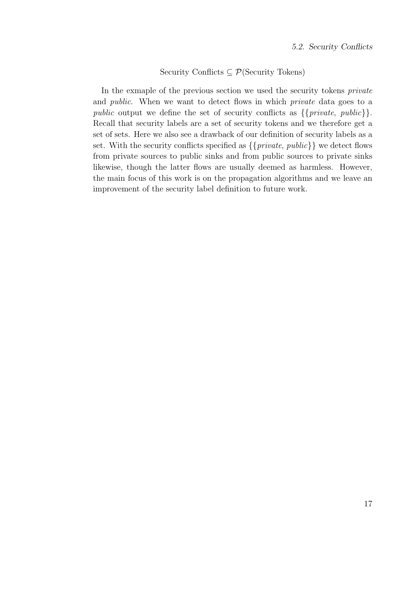#### Security Conflicts  $\subseteq \mathcal{P}(\text{Security} \text{ Tokens})$

In the exmaple of the previous section we used the security tokens *private* and public. When we want to detect flows in which private data goes to a public output we define the set of security conflicts as  $\{\{private, public\}\}.$ Recall that security labels are a set of security tokens and we therefore get a set of sets. Here we also see a drawback of our definition of security labels as a set. With the security conflicts specified as  $\{\{private, public\}\}\$ we detect flows from private sources to public sinks and from public sources to private sinks likewise, though the latter flows are usually deemed as harmless. However, the main focus of this work is on the propagation algorithms and we leave an improvement of the security label definition to future work.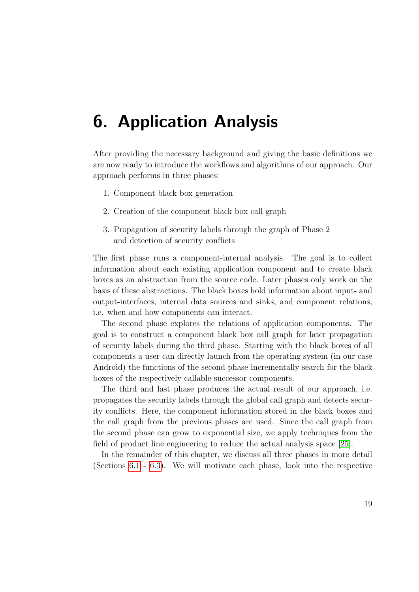## <span id="page-28-0"></span>6. Application Analysis

After providing the necessary background and giving the basic definitions we are now ready to introduce the workflows and algorithms of our approach. Our approach performs in three phases:

- 1. Component black box generation
- 2. Creation of the component black box call graph
- 3. Propagation of security labels through the graph of Phase 2 and detection of security conflicts

The first phase runs a component-internal analysis. The goal is to collect information about each existing application component and to create black boxes as an abstraction from the source code. Later phases only work on the basis of these abstractions. The black boxes hold information about input- and output-interfaces, internal data sources and sinks, and component relations, i.e. when and how components can interact.

The second phase explores the relations of application components. The goal is to construct a component black box call graph for later propagation of security labels during the third phase. Starting with the black boxes of all components a user can directly launch from the operating system (in our case Android) the functions of the second phase incrementally search for the black boxes of the respectively callable successor components.

The third and last phase produces the actual result of our approach, i.e. propagates the security labels through the global call graph and detects security conflicts. Here, the component information stored in the black boxes and the call graph from the previous phases are used. Since the call graph from the second phase can grow to exponential size, we apply techniques from the field of product line engineering to reduce the actual analysis space [\[25\]](#page-87-1).

In the remainder of this chapter, we discuss all three phases in more detail (Sections [6.1](#page-29-0) - [6.3\)](#page-42-0). We will motivate each phase, look into the respective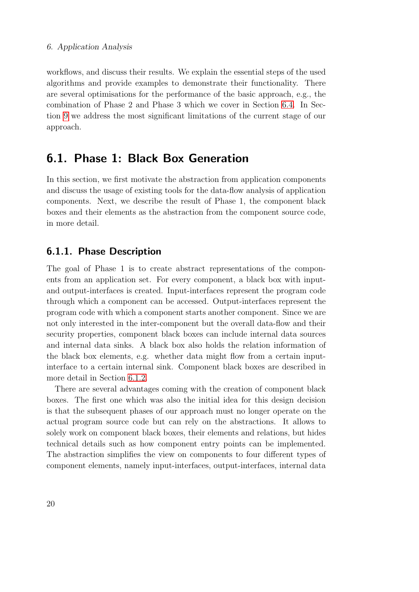workflows, and discuss their results. We explain the essential steps of the used algorithms and provide examples to demonstrate their functionality. There are several optimisations for the performance of the basic approach, e.g., the combination of Phase 2 and Phase 3 which we cover in Section [6.4.](#page-50-0) In Section [9](#page-78-0) we address the most significant limitations of the current stage of our approach.

## <span id="page-29-0"></span>6.1. Phase 1: Black Box Generation

In this section, we first motivate the abstraction from application components and discuss the usage of existing tools for the data-flow analysis of application components. Next, we describe the result of Phase 1, the component black boxes and their elements as the abstraction from the component source code, in more detail.

### <span id="page-29-1"></span>6.1.1. Phase Description

The goal of Phase 1 is to create abstract representations of the components from an application set. For every component, a black box with inputand output-interfaces is created. Input-interfaces represent the program code through which a component can be accessed. Output-interfaces represent the program code with which a component starts another component. Since we are not only interested in the inter-component but the overall data-flow and their security properties, component black boxes can include internal data sources and internal data sinks. A black box also holds the relation information of the black box elements, e.g. whether data might flow from a certain inputinterface to a certain internal sink. Component black boxes are described in more detail in Section [6.1.2.](#page-31-0)

There are several advantages coming with the creation of component black boxes. The first one which was also the initial idea for this design decision is that the subsequent phases of our approach must no longer operate on the actual program source code but can rely on the abstractions. It allows to solely work on component black boxes, their elements and relations, but hides technical details such as how component entry points can be implemented. The abstraction simplifies the view on components to four different types of component elements, namely input-interfaces, output-interfaces, internal data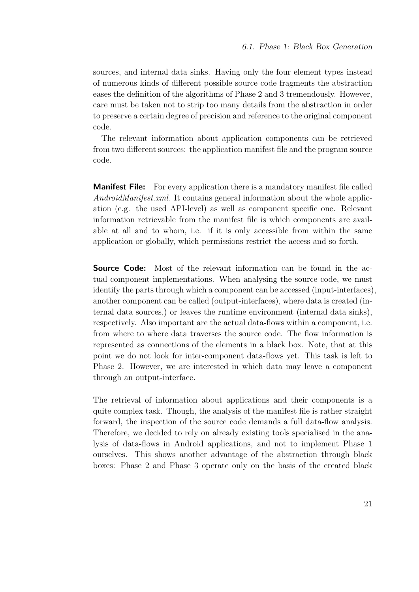sources, and internal data sinks. Having only the four element types instead of numerous kinds of different possible source code fragments the abstraction eases the definition of the algorithms of Phase 2 and 3 tremendously. However, care must be taken not to strip too many details from the abstraction in order to preserve a certain degree of precision and reference to the original component code.

The relevant information about application components can be retrieved from two different sources: the application manifest file and the program source code.

**Manifest File:** For every application there is a mandatory manifest file called AndroidManifest.xml. It contains general information about the whole application (e.g. the used API-level) as well as component specific one. Relevant information retrievable from the manifest file is which components are available at all and to whom, i.e. if it is only accessible from within the same application or globally, which permissions restrict the access and so forth.

**Source Code:** Most of the relevant information can be found in the actual component implementations. When analysing the source code, we must identify the parts through which a component can be accessed (input-interfaces), another component can be called (output-interfaces), where data is created (internal data sources,) or leaves the runtime environment (internal data sinks), respectively. Also important are the actual data-flows within a component, i.e. from where to where data traverses the source code. The flow information is represented as connections of the elements in a black box. Note, that at this point we do not look for inter-component data-flows yet. This task is left to Phase 2. However, we are interested in which data may leave a component through an output-interface.

The retrieval of information about applications and their components is a quite complex task. Though, the analysis of the manifest file is rather straight forward, the inspection of the source code demands a full data-flow analysis. Therefore, we decided to rely on already existing tools specialised in the analysis of data-flows in Android applications, and not to implement Phase 1 ourselves. This shows another advantage of the abstraction through black boxes: Phase 2 and Phase 3 operate only on the basis of the created black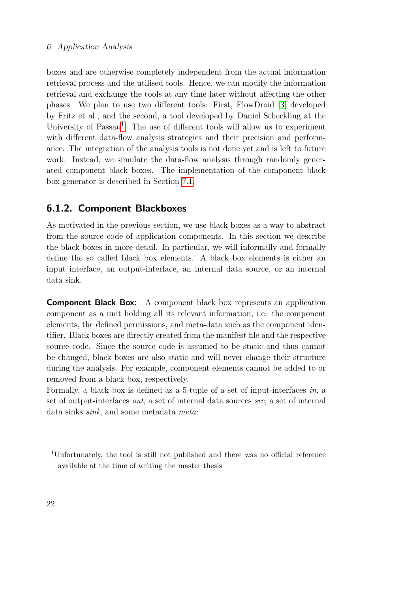#### 6. Application Analysis

boxes and are otherwise completely independent from the actual information retrieval process and the utilised tools. Hence, we can modify the information retrieval and exchange the tools at any time later without affecting the other phases. We plan to use two different tools: First, FlowDroid [\[3\]](#page-84-4) developed by Fritz et al., and the second, a tool developed by Daniel Scheckling at the University of Passau<sup>[1](#page-31-1)</sup>. The use of different tools will allow us to experiment with different data-flow analysis strategies and their precision and performance. The integration of the analysis tools is not done yet and is left to future work. Instead, we simulate the data-flow analysis through randomly generated component black boxes. The implementation of the component black box generator is described in Section [7.1.](#page-54-1)

### <span id="page-31-0"></span>6.1.2. Component Blackboxes

As motivated in the previous section, we use black boxes as a way to abstract from the source code of application components. In this section we describe the black boxes in more detail. In particular, we will informally and formally define the so called black box elements. A black box elements is either an input interface, an output-interface, an internal data source, or an internal data sink.

Component Black Box: A component black box represents an application component as a unit holding all its relevant information, i.e. the component elements, the defined permissions, and meta-data such as the component identifier. Black boxes are directly created from the manifest file and the respective source code. Since the source code is assumed to be static and thus cannot be changed, black boxes are also static and will never change their structure during the analysis. For example, component elements cannot be added to or removed from a black box, respectively.

Formally, a black box is defined as a 5-tuple of a set of input-interfaces in, a set of output-interfaces out, a set of internal data sources src, a set of internal data sinks sink, and some metadata meta:

<span id="page-31-1"></span><sup>1</sup>Unfortunately, the tool is still not published and there was no official reference available at the time of writing the master thesis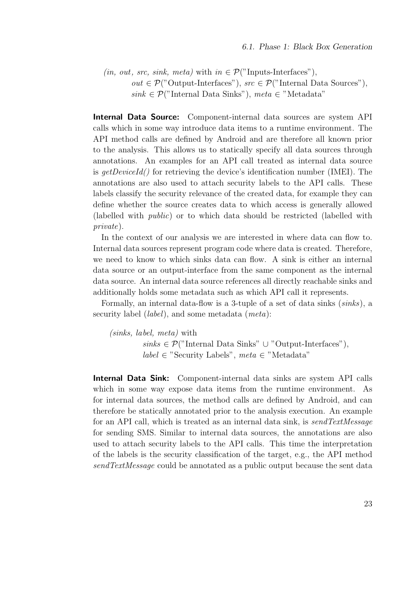$(in, out, src, sink, meta)$  with  $in \mathcal{P}($ "Inputs-Interfaces"), out ∈  $\mathcal{P}$ ("Output-Interfaces"), src ∈  $\mathcal{P}$ ("Internal Data Sources"),  $sink \in \mathcal{P}("$ Internal Data Sinks"), meta $\in$ "Metadata"

**Internal Data Source:** Component-internal data sources are system API calls which in some way introduce data items to a runtime environment. The API method calls are defined by Android and are therefore all known prior to the analysis. This allows us to statically specify all data sources through annotations. An examples for an API call treated as internal data source is  $getDeviceId()$  for retrieving the device's identification number (IMEI). The annotations are also used to attach security labels to the API calls. These labels classify the security relevance of the created data, for example they can define whether the source creates data to which access is generally allowed (labelled with public) or to which data should be restricted (labelled with private).

In the context of our analysis we are interested in where data can flow to. Internal data sources represent program code where data is created. Therefore, we need to know to which sinks data can flow. A sink is either an internal data source or an output-interface from the same component as the internal data source. An internal data source references all directly reachable sinks and additionally holds some metadata such as which API call it represents.

Formally, an internal data-flow is a 3-tuple of a set of data sinks (sinks), a security label *(label)*, and some metadata *(meta)*:

(sinks, label, meta) with  $sinks \in \mathcal{P}("Internal Data Sinks" \cup "Output-Interfaces"),$  $label \in$  "Security Labels", meta ∈ "Metadata"

Internal Data Sink: Component-internal data sinks are system API calls which in some way expose data items from the runtime environment. As for internal data sources, the method calls are defined by Android, and can therefore be statically annotated prior to the analysis execution. An example for an API call, which is treated as an internal data sink, is send TextMessage for sending SMS. Similar to internal data sources, the annotations are also used to attach security labels to the API calls. This time the interpretation of the labels is the security classification of the target, e.g., the API method sendTextMessage could be annotated as a public output because the sent data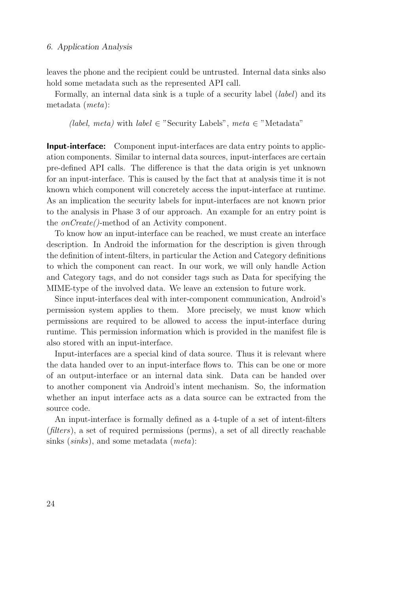#### 6. Application Analysis

leaves the phone and the recipient could be untrusted. Internal data sinks also hold some metadata such as the represented API call.

Formally, an internal data sink is a tuple of a security label *(label)* and its metadata (meta):

(label, meta) with label  $\in$  "Security Labels", meta  $\in$  "Metadata"

Input-interface: Component input-interfaces are data entry points to application components. Similar to internal data sources, input-interfaces are certain pre-defined API calls. The difference is that the data origin is yet unknown for an input-interface. This is caused by the fact that at analysis time it is not known which component will concretely access the input-interface at runtime. As an implication the security labels for input-interfaces are not known prior to the analysis in Phase 3 of our approach. An example for an entry point is the onCreate()-method of an Activity component.

To know how an input-interface can be reached, we must create an interface description. In Android the information for the description is given through the definition of intent-filters, in particular the Action and Category definitions to which the component can react. In our work, we will only handle Action and Category tags, and do not consider tags such as Data for specifying the MIME-type of the involved data. We leave an extension to future work.

Since input-interfaces deal with inter-component communication, Android's permission system applies to them. More precisely, we must know which permissions are required to be allowed to access the input-interface during runtime. This permission information which is provided in the manifest file is also stored with an input-interface.

Input-interfaces are a special kind of data source. Thus it is relevant where the data handed over to an input-interface flows to. This can be one or more of an output-interface or an internal data sink. Data can be handed over to another component via Android's intent mechanism. So, the information whether an input interface acts as a data source can be extracted from the source code.

An input-interface is formally defined as a 4-tuple of a set of intent-filters (filters), a set of required permissions (perms), a set of all directly reachable sinks (sinks), and some metadata (meta):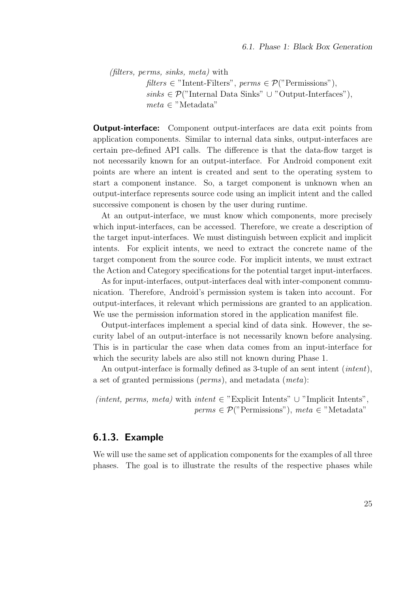(filters, perms, sinks, meta) with  $filters \in "Internet-Filter", perms \in \mathcal{P}("Permissions"),$ sinks ∈  $\mathcal{P}$ ("Internal Data Sinks" ∪ "Output-Interfaces"),  $meta \in "Metadata"$ 

**Output-interface:** Component output-interfaces are data exit points from application components. Similar to internal data sinks, output-interfaces are certain pre-defined API calls. The difference is that the data-flow target is not necessarily known for an output-interface. For Android component exit points are where an intent is created and sent to the operating system to start a component instance. So, a target component is unknown when an output-interface represents source code using an implicit intent and the called successive component is chosen by the user during runtime.

At an output-interface, we must know which components, more precisely which input-interfaces, can be accessed. Therefore, we create a description of the target input-interfaces. We must distinguish between explicit and implicit intents. For explicit intents, we need to extract the concrete name of the target component from the source code. For implicit intents, we must extract the Action and Category specifications for the potential target input-interfaces.

As for input-interfaces, output-interfaces deal with inter-component communication. Therefore, Android's permission system is taken into account. For output-interfaces, it relevant which permissions are granted to an application. We use the permission information stored in the application manifest file.

Output-interfaces implement a special kind of data sink. However, the security label of an output-interface is not necessarily known before analysing. This is in particular the case when data comes from an input-interface for which the security labels are also still not known during Phase 1.

An output-interface is formally defined as 3-tuple of an sent intent (*intent*), a set of granted permissions (perms), and metadata (meta):

(intent, perms, meta) with intent  $\in$  "Explicit Intents" ∪ "Implicit Intents",  $perms \in \mathcal{P}("Permissions")$ , meta $\in$ "Metadata"

### <span id="page-34-0"></span>6.1.3. Example

We will use the same set of application components for the examples of all three phases. The goal is to illustrate the results of the respective phases while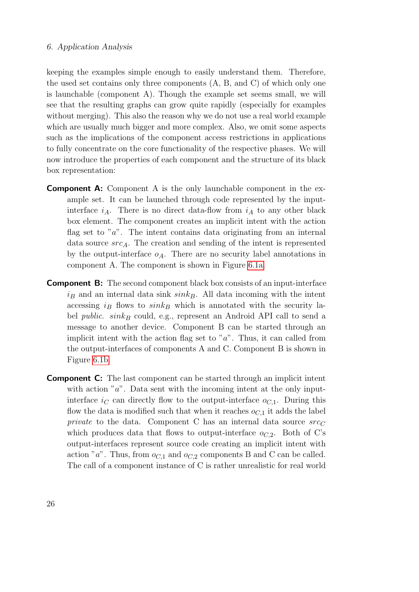#### 6. Application Analysis

keeping the examples simple enough to easily understand them. Therefore, the used set contains only three components (A, B, and C) of which only one is launchable (component A). Though the example set seems small, we will see that the resulting graphs can grow quite rapidly (especially for examples without merging). This also the reason why we do not use a real world example which are usually much bigger and more complex. Also, we omit some aspects such as the implications of the component access restrictions in applications to fully concentrate on the core functionality of the respective phases. We will now introduce the properties of each component and the structure of its black box representation:

- Component A: Component A is the only launchable component in the example set. It can be launched through code represented by the inputinterface  $i_A$ . There is no direct data-flow from  $i_A$  to any other black box element. The component creates an implicit intent with the action flag set to " $a$ ". The intent contains data originating from an internal data source  $src_A$ . The creation and sending of the intent is represented by the output-interface  $o_A$ . There are no security label annotations in component A. The component is shown in Figure [6.1a.](#page-36-2)
- **Component B:** The second component black box consists of an input-interface  $i_B$  and an internal data sink  $sink_B$ . All data incoming with the intent accessing  $i_B$  flows to  $sink_B$  which is annotated with the security label *public. sink<sub>B</sub>* could, e.g., represent an Android API call to send a message to another device. Component B can be started through an implicit intent with the action flag set to " $a$ ". Thus, it can called from the output-interfaces of components A and C. Component B is shown in Figure [6.1b.](#page-36-2)
- **Component C:** The last component can be started through an implicit intent with action " $a$ ". Data sent with the incoming intent at the only inputinterface  $i<sub>C</sub>$  can directly flow to the output-interface  $o<sub>C,1</sub>$ . During this flow the data is modified such that when it reaches  $o_{C,1}$  it adds the label private to the data. Component C has an internal data source  $src_C$ which produces data that flows to output-interface  $o_{C,2}$ . Both of C's output-interfaces represent source code creating an implicit intent with action "a". Thus, from  $o_{C,1}$  and  $o_{C,2}$  components B and C can be called. The call of a component instance of C is rather unrealistic for real world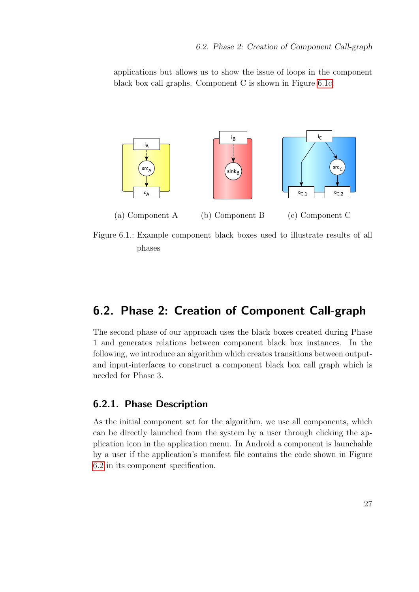applications but allows us to show the issue of loops in the component black box call graphs. Component C is shown in Figure [6.1c.](#page-36-0)

<span id="page-36-0"></span>

Figure 6.1.: Example component black boxes used to illustrate results of all phases

# <span id="page-36-1"></span>6.2. Phase 2: Creation of Component Call-graph

The second phase of our approach uses the black boxes created during Phase 1 and generates relations between component black box instances. In the following, we introduce an algorithm which creates transitions between outputand input-interfaces to construct a component black box call graph which is needed for Phase 3.

# 6.2.1. Phase Description

As the initial component set for the algorithm, we use all components, which can be directly launched from the system by a user through clicking the application icon in the application menu. In Android a component is launchable by a user if the application's manifest file contains the code shown in Figure [6.2](#page-37-0) in its component specification.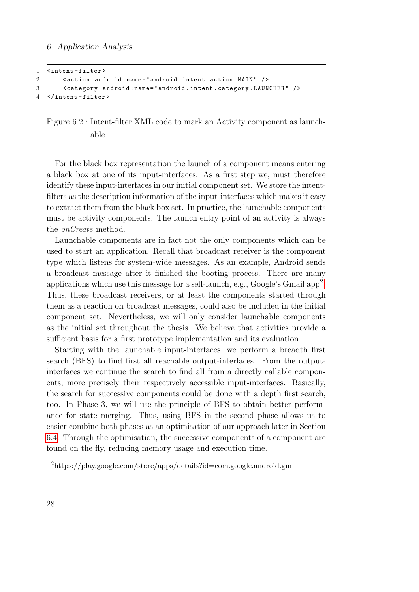```
1 < intent - filter >
2 < action android : name =" android . intent . action . MAIN " / >
3 < category android : name =" android . intent . category . LAUNCHER " / >
4 </ intent - filter >
```
Figure 6.2.: Intent-filter XML code to mark an Activity component as launchable

For the black box representation the launch of a component means entering a black box at one of its input-interfaces. As a first step we, must therefore identify these input-interfaces in our initial component set. We store the intentfilters as the description information of the input-interfaces which makes it easy to extract them from the black box set. In practice, the launchable components must be activity components. The launch entry point of an activity is always the onCreate method.

Launchable components are in fact not the only components which can be used to start an application. Recall that broadcast receiver is the component type which listens for system-wide messages. As an example, Android sends a broadcast message after it finished the booting process. There are many applications which use this message for a self-launch, e.g., Google's Gmail app<sup>[2](#page-37-1)</sup>. Thus, these broadcast receivers, or at least the components started through them as a reaction on broadcast messages, could also be included in the initial component set. Nevertheless, we will only consider launchable components as the initial set throughout the thesis. We believe that activities provide a sufficient basis for a first prototype implementation and its evaluation.

Starting with the launchable input-interfaces, we perform a breadth first search (BFS) to find first all reachable output-interfaces. From the outputinterfaces we continue the search to find all from a directly callable components, more precisely their respectively accessible input-interfaces. Basically, the search for successive components could be done with a depth first search, too. In Phase 3, we will use the principle of BFS to obtain better performance for state merging. Thus, using BFS in the second phase allows us to easier combine both phases as an optimisation of our approach later in Section [6.4.](#page-50-0) Through the optimisation, the successive components of a component are found on the fly, reducing memory usage and execution time.

<span id="page-37-1"></span> $^{2}$ https://play.google.com/store/apps/details?id=com.google.android.gm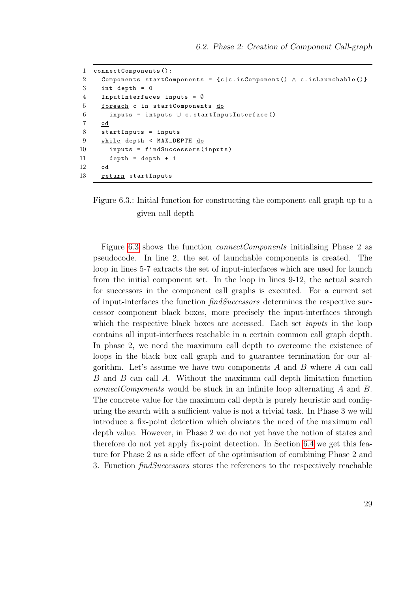```
1 connectComponents ():
2 Components startComponents = {c | c. isComponent() \land c. isLaunchable()}
3 int depth = 0
4 InputInterfaces inputs = \emptyset5 foreach c in startComponents do
6 inputs = intputs \cup c.startInputInterface()
7 od
8 startInputs = inputs
9 while depth < MAX_DEPTH do
10 inputs = findSuccessors ( inputs )
11 depth = depth + 1
12 od
13 return startInputs
```
Figure 6.3.: Initial function for constructing the component call graph up to a given call depth

Figure [6.3](#page-38-0) shows the function *connectComponents* initialising Phase 2 as pseudocode. In line 2, the set of launchable components is created. The loop in lines 5-7 extracts the set of input-interfaces which are used for launch from the initial component set. In the loop in lines 9-12, the actual search for successors in the component call graphs is executed. For a current set of input-interfaces the function findSuccessors determines the respective successor component black boxes, more precisely the input-interfaces through which the respective black boxes are accessed. Each set *inputs* in the loop contains all input-interfaces reachable in a certain common call graph depth. In phase 2, we need the maximum call depth to overcome the existence of loops in the black box call graph and to guarantee termination for our algorithm. Let's assume we have two components  $A$  and  $B$  where  $A$  can call B and B can call A. Without the maximum call depth limitation function connectComponents would be stuck in an infinite loop alternating A and B. The concrete value for the maximum call depth is purely heuristic and configuring the search with a sufficient value is not a trivial task. In Phase 3 we will introduce a fix-point detection which obviates the need of the maximum call depth value. However, in Phase 2 we do not yet have the notion of states and therefore do not yet apply fix-point detection. In Section [6.4](#page-50-0) we get this feature for Phase 2 as a side effect of the optimisation of combining Phase 2 and 3. Function findSuccessors stores the references to the respectively reachable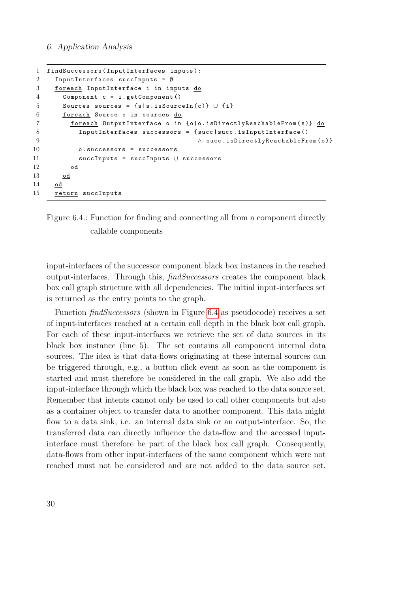```
1 findSuccessors ( InputInterfaces inputs ):
2 InputInterfaces succInputs = ∅
3 foreach InputInterface i in inputs do
4 Component c = i . getComponent ()
5 Sources sources = \{s | s.isSourceIn(c)\} \cup \{i\}6 foreach Source s in sources do
7 foreach OutputInterface o in {o|o.isDirectlyReachableFrom(s)} do
8 InputInterfaces successors = { succ | succ . isInputInterface ()
9 ∧ succ . isDirectlyReachableFrom ( o )}
10 o . successors = successors
11 succInputs = succInputs ∪ successors
12 od
13 od
14 od
15 return succInputs
```


input-interfaces of the successor component black box instances in the reached output-interfaces. Through this, findSuccessors creates the component black box call graph structure with all dependencies. The initial input-interfaces set is returned as the entry points to the graph.

Function findSuccessors (shown in Figure [6.4](#page-39-0) as pseudocode) receives a set of input-interfaces reached at a certain call depth in the black box call graph. For each of these input-interfaces we retrieve the set of data sources in its black box instance (line 5). The set contains all component internal data sources. The idea is that data-flows originating at these internal sources can be triggered through, e.g., a button click event as soon as the component is started and must therefore be considered in the call graph. We also add the input-interface through which the black box was reached to the data source set. Remember that intents cannot only be used to call other components but also as a container object to transfer data to another component. This data might flow to a data sink, i.e. an internal data sink or an output-interface. So, the transferred data can directly influence the data-flow and the accessed inputinterface must therefore be part of the black box call graph. Consequently, data-flows from other input-interfaces of the same component which were not reached must not be considered and are not added to the data source set.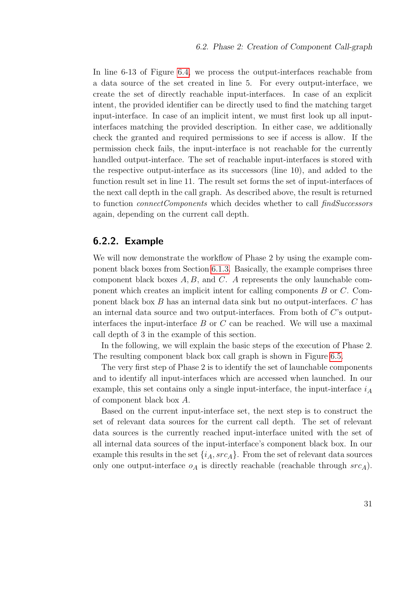In line 6-13 of Figure [6.4,](#page-39-0) we process the output-interfaces reachable from a data source of the set created in line 5. For every output-interface, we create the set of directly reachable input-interfaces. In case of an explicit intent, the provided identifier can be directly used to find the matching target input-interface. In case of an implicit intent, we must first look up all inputinterfaces matching the provided description. In either case, we additionally check the granted and required permissions to see if access is allow. If the permission check fails, the input-interface is not reachable for the currently handled output-interface. The set of reachable input-interfaces is stored with the respective output-interface as its successors (line 10), and added to the function result set in line 11. The result set forms the set of input-interfaces of the next call depth in the call graph. As described above, the result is returned to function *connectComponents* which decides whether to call *findSuccessors* again, depending on the current call depth.

#### <span id="page-40-0"></span>6.2.2. Example

We will now demonstrate the workflow of Phase 2 by using the example component black boxes from Section [6.1.3.](#page-34-0) Basically, the example comprises three component black boxes  $A, B$ , and  $C$ . A represents the only launchable component which creates an implicit intent for calling components B or C. Component black box B has an internal data sink but no output-interfaces. C has an internal data source and two output-interfaces. From both of  $C$ 's outputinterfaces the input-interface  $B$  or  $C$  can be reached. We will use a maximal call depth of 3 in the example of this section.

In the following, we will explain the basic steps of the execution of Phase 2. The resulting component black box call graph is shown in Figure [6.5.](#page-41-0)

The very first step of Phase 2 is to identify the set of launchable components and to identify all input-interfaces which are accessed when launched. In our example, this set contains only a single input-interface, the input-interface  $i_A$ of component black box A.

Based on the current input-interface set, the next step is to construct the set of relevant data sources for the current call depth. The set of relevant data sources is the currently reached input-interface united with the set of all internal data sources of the input-interface's component black box. In our example this results in the set  $\{i_A, src_A\}$ . From the set of relevant data sources only one output-interface  $o<sub>A</sub>$  is directly reachable (reachable through  $src<sub>A</sub>$ ).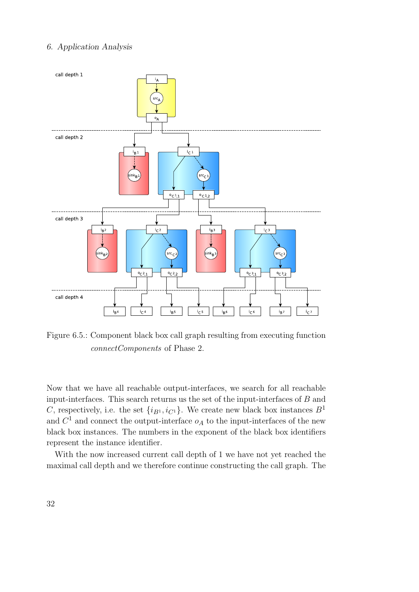<span id="page-41-0"></span>

Figure 6.5.: Component black box call graph resulting from executing function connectComponents of Phase 2.

Now that we have all reachable output-interfaces, we search for all reachable input-interfaces. This search returns us the set of the input-interfaces of B and C, respectively, i.e. the set  $\{i_{B^1}, i_{C^1}\}$ . We create new black box instances  $B^1$ and  $C^1$  and connect the output-interface  $o<sub>A</sub>$  to the input-interfaces of the new black box instances. The numbers in the exponent of the black box identifiers represent the instance identifier.

With the now increased current call depth of 1 we have not yet reached the maximal call depth and we therefore continue constructing the call graph. The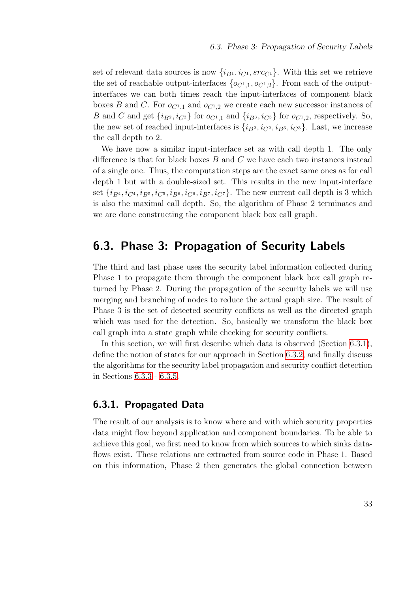set of relevant data sources is now  $\{i_{B1}, i_{C1}, src_{C1}\}\$ . With this set we retrieve the set of reachable output-interfaces  $\{o_{C^1,1}, o_{C^1,2}\}$ . From each of the outputinterfaces we can both times reach the input-interfaces of component black boxes B and C. For  $o_{C<sup>1</sup>,1}$  and  $o_{C<sup>1</sup>,2}$  we create each new successor instances of B and C and get  $\{i_{B^2}, i_{C^2}\}$  for  $o_{C^1,1}$  and  $\{i_{B^3}, i_{C^3}\}$  for  $o_{C^1,2}$ , respectively. So, the new set of reached input-interfaces is  $\{i_{B2}, i_{C2}, i_{B3}, i_{C3}\}\$ . Last, we increase the call depth to 2.

We have now a similar input-interface set as with call depth 1. The only difference is that for black boxes  $B$  and  $C$  we have each two instances instead of a single one. Thus, the computation steps are the exact same ones as for call depth 1 but with a double-sized set. This results in the new input-interface set  $\{i_{B_4}, i_{C_4}, i_{B_5}, i_{C_5}, i_{B_6}, i_{C_6}, i_{B_7}, i_{C_7}\}.$  The new current call depth is 3 which is also the maximal call depth. So, the algorithm of Phase 2 terminates and we are done constructing the component black box call graph.

# <span id="page-42-1"></span>6.3. Phase 3: Propagation of Security Labels

The third and last phase uses the security label information collected during Phase 1 to propagate them through the component black box call graph returned by Phase 2. During the propagation of the security labels we will use merging and branching of nodes to reduce the actual graph size. The result of Phase 3 is the set of detected security conflicts as well as the directed graph which was used for the detection. So, basically we transform the black box call graph into a state graph while checking for security conflicts.

In this section, we will first describe which data is observed (Section [6.3.1\)](#page-42-0), define the notion of states for our approach in Section [6.3.2,](#page-43-0) and finally discuss the algorithms for the security label propagation and security conflict detection in Sections [6.3.3](#page-44-0) - [6.3.5.](#page-47-0)

## <span id="page-42-0"></span>6.3.1. Propagated Data

The result of our analysis is to know where and with which security properties data might flow beyond application and component boundaries. To be able to achieve this goal, we first need to know from which sources to which sinks dataflows exist. These relations are extracted from source code in Phase 1. Based on this information, Phase 2 then generates the global connection between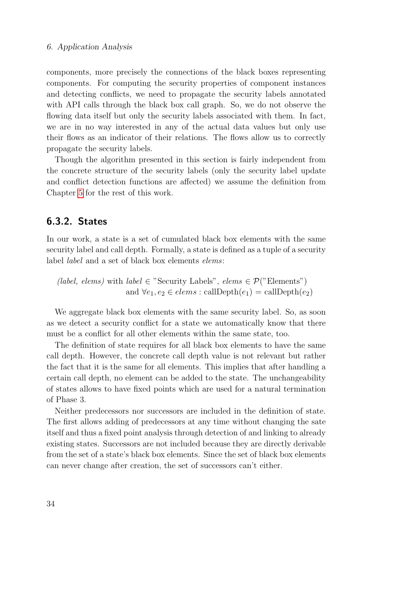components, more precisely the connections of the black boxes representing components. For computing the security properties of component instances and detecting conflicts, we need to propagate the security labels annotated with API calls through the black box call graph. So, we do not observe the flowing data itself but only the security labels associated with them. In fact, we are in no way interested in any of the actual data values but only use their flows as an indicator of their relations. The flows allow us to correctly propagate the security labels.

Though the algorithm presented in this section is fairly independent from the concrete structure of the security labels (only the security label update and conflict detection functions are affected) we assume the definition from Chapter [5](#page-24-0) for the rest of this work.

## <span id="page-43-0"></span>6.3.2. States

In our work, a state is a set of cumulated black box elements with the same security label and call depth. Formally, a state is defined as a tuple of a security label label and a set of black box elements elems:

(*label, elems*) with *label*  $\in$  "Security Labels", *elems*  $\in \mathcal{P}$ ("Elements") and  $\forall e_1, e_2 \in elements : \text{callDepth}(e_1) = \text{callDepth}(e_2)$ 

We aggregate black box elements with the same security label. So, as soon as we detect a security conflict for a state we automatically know that there must be a conflict for all other elements within the same state, too.

The definition of state requires for all black box elements to have the same call depth. However, the concrete call depth value is not relevant but rather the fact that it is the same for all elements. This implies that after handling a certain call depth, no element can be added to the state. The unchangeability of states allows to have fixed points which are used for a natural termination of Phase 3.

Neither predecessors nor successors are included in the definition of state. The first allows adding of predecessors at any time without changing the sate itself and thus a fixed point analysis through detection of and linking to already existing states. Successors are not included because they are directly derivable from the set of a state's black box elements. Since the set of black box elements can never change after creation, the set of successors can't either.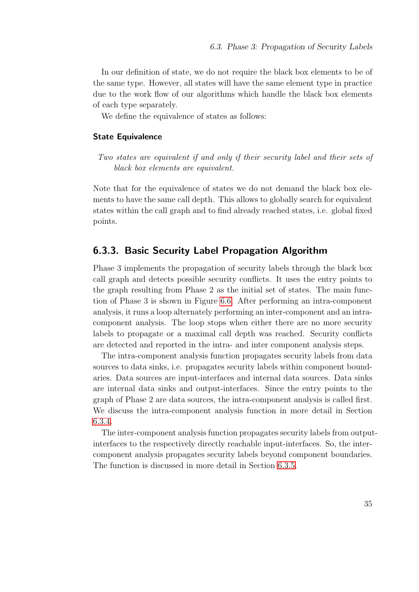In our definition of state, we do not require the black box elements to be of the same type. However, all states will have the same element type in practice due to the work flow of our algorithms which handle the black box elements of each type separately.

We define the equivalence of states as follows:

#### State Equivalence

Two states are equivalent if and only if their security label and their sets of black box elements are equivalent.

Note that for the equivalence of states we do not demand the black box elements to have the same call depth. This allows to globally search for equivalent states within the call graph and to find already reached states, i.e. global fixed points.

#### <span id="page-44-0"></span>6.3.3. Basic Security Label Propagation Algorithm

Phase 3 implements the propagation of security labels through the black box call graph and detects possible security conflicts. It uses the entry points to the graph resulting from Phase 2 as the initial set of states. The main function of Phase 3 is shown in Figure [6.6.](#page-45-0) After performing an intra-component analysis, it runs a loop alternately performing an inter-component and an intracomponent analysis. The loop stops when either there are no more security labels to propagate or a maximal call depth was reached. Security conflicts are detected and reported in the intra- and inter component analysis steps.

The intra-component analysis function propagates security labels from data sources to data sinks, i.e. propagates security labels within component boundaries. Data sources are input-interfaces and internal data sources. Data sinks are internal data sinks and output-interfaces. Since the entry points to the graph of Phase 2 are data sources, the intra-component analysis is called first. We discuss the intra-component analysis function in more detail in Section [6.3.4.](#page-45-1)

The inter-component analysis function propagates security labels from outputinterfaces to the respectively directly reachable input-interfaces. So, the intercomponent analysis propagates security labels beyond component boundaries. The function is discussed in more detail in Section [6.3.5.](#page-47-0)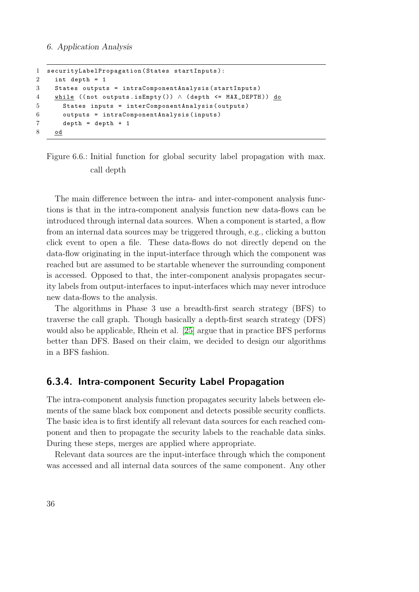```
1 securityLabelPropagation ( States startInputs ):
2 int depth = 1
3 States outputs = intraComponentAnalysis ( startInputs )
4 while ((not outputs.isEmpty()) \wedge (depth <= MAX_DEPTH)) do
5 States inputs = interComponentAnalysis ( outputs )
6 outputs = intraComponentAnalysis ( inputs )
7 depth = depth + 1
8 od
```
Figure 6.6.: Initial function for global security label propagation with max. call depth

The main difference between the intra- and inter-component analysis functions is that in the intra-component analysis function new data-flows can be introduced through internal data sources. When a component is started, a flow from an internal data sources may be triggered through, e.g., clicking a button click event to open a file. These data-flows do not directly depend on the data-flow originating in the input-interface through which the component was reached but are assumed to be startable whenever the surrounding component is accessed. Opposed to that, the inter-component analysis propagates security labels from output-interfaces to input-interfaces which may never introduce new data-flows to the analysis.

The algorithms in Phase 3 use a breadth-first search strategy (BFS) to traverse the call graph. Though basically a depth-first search strategy (DFS) would also be applicable, Rhein et al. [\[25\]](#page-87-0) argue that in practice BFS performs better than DFS. Based on their claim, we decided to design our algorithms in a BFS fashion.

#### <span id="page-45-1"></span>6.3.4. Intra-component Security Label Propagation

The intra-component analysis function propagates security labels between elements of the same black box component and detects possible security conflicts. The basic idea is to first identify all relevant data sources for each reached component and then to propagate the security labels to the reachable data sinks. During these steps, merges are applied where appropriate.

Relevant data sources are the input-interface through which the component was accessed and all internal data sources of the same component. Any other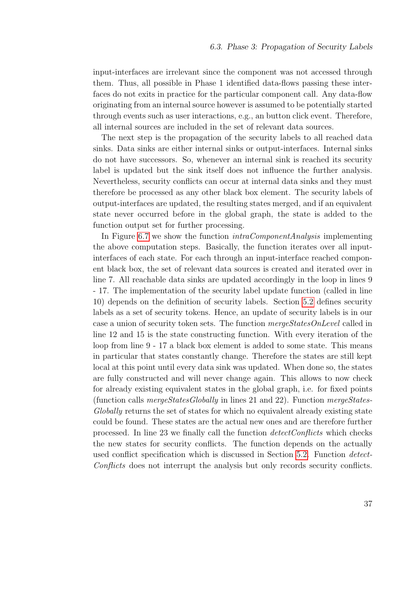input-interfaces are irrelevant since the component was not accessed through them. Thus, all possible in Phase 1 identified data-flows passing these interfaces do not exits in practice for the particular component call. Any data-flow originating from an internal source however is assumed to be potentially started through events such as user interactions, e.g., an button click event. Therefore, all internal sources are included in the set of relevant data sources.

The next step is the propagation of the security labels to all reached data sinks. Data sinks are either internal sinks or output-interfaces. Internal sinks do not have successors. So, whenever an internal sink is reached its security label is updated but the sink itself does not influence the further analysis. Nevertheless, security conflicts can occur at internal data sinks and they must therefore be processed as any other black box element. The security labels of output-interfaces are updated, the resulting states merged, and if an equivalent state never occurred before in the global graph, the state is added to the function output set for further processing.

In Figure [6.7](#page-47-1) we show the function *intraComponentAnalysis* implementing the above computation steps. Basically, the function iterates over all inputinterfaces of each state. For each through an input-interface reached component black box, the set of relevant data sources is created and iterated over in line 7. All reachable data sinks are updated accordingly in the loop in lines 9 - 17. The implementation of the security label update function (called in line 10) depends on the definition of security labels. Section [5.2](#page-25-0) defines security labels as a set of security tokens. Hence, an update of security labels is in our case a union of security token sets. The function mergeStatesOnLevel called in line 12 and 15 is the state constructing function. With every iteration of the loop from line 9 - 17 a black box element is added to some state. This means in particular that states constantly change. Therefore the states are still kept local at this point until every data sink was updated. When done so, the states are fully constructed and will never change again. This allows to now check for already existing equivalent states in the global graph, i.e. for fixed points (function calls  $mergeStatesGlobally$  in lines 21 and 22). Function mergeStates-Globally returns the set of states for which no equivalent already existing state could be found. These states are the actual new ones and are therefore further processed. In line 23 we finally call the function detectConflicts which checks the new states for security conflicts. The function depends on the actually used conflict specification which is discussed in Section [5.2.](#page-25-0) Function detect-Conflicts does not interrupt the analysis but only records security conflicts.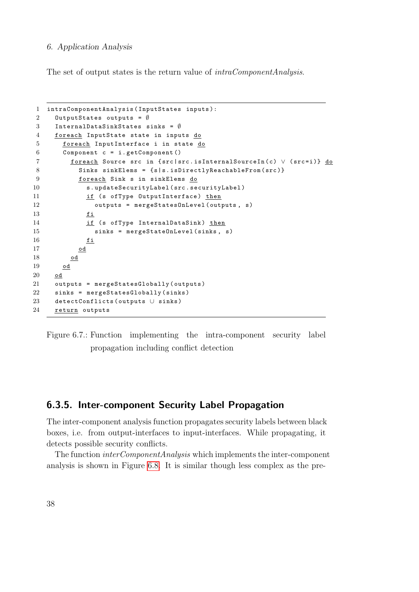The set of output states is the return value of  $intraComponentAnalysis$ .

```
1 intraComponentAnalysis ( InputStates inputs ):
2 OutputStates outputs = ∅
3 InternalDataSinkStates sinks = ∅
4 foreach InputState state in inputs do
5 foreach InputInterface i in state do
6 Component c = i . getComponent ()
7 foreach Source src in { src | src . isInternalSourceIn ( c ) ∨ ( src = i )} do
8 Sinks sinkElems = { s | s . isDirectlyReachableFrom (src) }
9 foreach Sink s in sinkElems do
10 s.updateSecurityLabel (src.securityLabel)
11 if (s ofType OutputInterface) then
12 outputs = mergeStatesOnLevel (outputs, s)
13 fi
14 if (s ofType InternalDataSink) then
15 sinks = mergeStateOnLevel (sinks, s)
16 \qquad \qquad \underline{\mathbf{fi}}17 od
18 od
19 od
20 od
21 outputs = mergeStatesGlobally (outputs)
22 sinks = mergeStatesGlobally ( sinks )
23 detectConflicts (outputs ∪ sinks)
24 return outputs
```
Figure 6.7.: Function implementing the intra-component security label propagation including conflict detection

# <span id="page-47-0"></span>6.3.5. Inter-component Security Label Propagation

The inter-component analysis function propagates security labels between black boxes, i.e. from output-interfaces to input-interfaces. While propagating, it detects possible security conflicts.

The function interComponentAnalysis which implements the inter-component analysis is shown in Figure [6.8.](#page-48-0) It is similar though less complex as the pre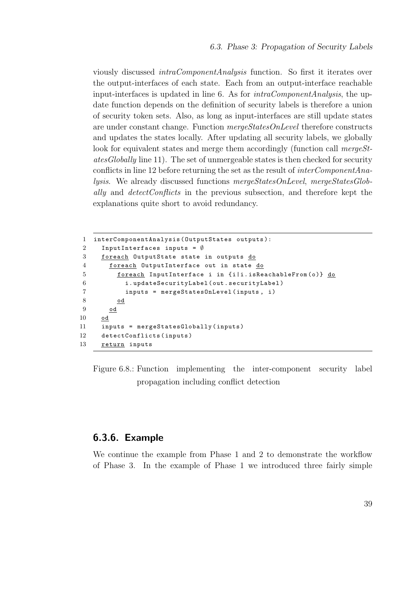viously discussed intraComponentAnalysis function. So first it iterates over the output-interfaces of each state. Each from an output-interface reachable input-interfaces is updated in line 6. As for  $intraComponentAnalysis$ , the update function depends on the definition of security labels is therefore a union of security token sets. Also, as long as input-interfaces are still update states are under constant change. Function mergeStatesOnLevel therefore constructs and updates the states locally. After updating all security labels, we globally look for equivalent states and merge them accordingly (function call mergeStatesGlobally line 11). The set of unmergeable states is then checked for security conflicts in line 12 before returning the set as the result of *interComponentAna*lysis. We already discussed functions mergeStatesOnLevel, mergeStatesGlobally and detectConflicts in the previous subsection, and therefore kept the explanations quite short to avoid redundancy.

```
1 interComponentAnalysis ( OutputStates outputs ):
2 InputInterfaces inputs = \emptyset3 foreach OutputState state in outputs do
4 foreach OutputInterface out in state do
5 foreach InputInterface i in {i|i.isReachableFrom(o)} do
6 i . updateSecurityLabel ( out . securityLabel )
7 inputs = mergeStatesOnLevel ( inputs , i )
8 od
9 od
10 od
11 inputs = mergeStatesGlobally ( inputs )
12 detectConflicts ( inputs )
13 return inputs
```
Figure 6.8.: Function implementing the inter-component security label propagation including conflict detection

## 6.3.6. Example

We continue the example from Phase 1 and 2 to demonstrate the workflow of Phase 3. In the example of Phase 1 we introduced three fairly simple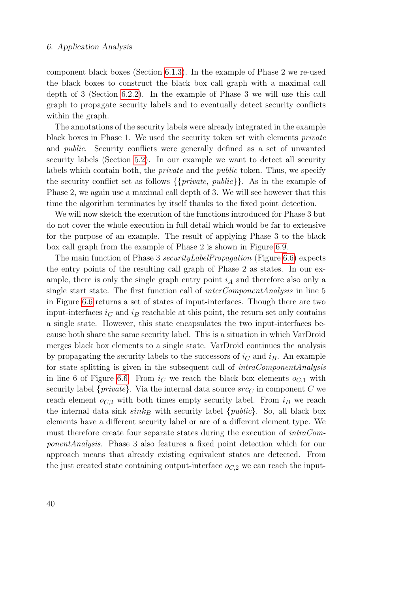component black boxes (Section [6.1.3\)](#page-34-0). In the example of Phase 2 we re-used the black boxes to construct the black box call graph with a maximal call depth of 3 (Section [6.2.2\)](#page-40-0). In the example of Phase 3 we will use this call graph to propagate security labels and to eventually detect security conflicts within the graph.

The annotations of the security labels were already integrated in the example black boxes in Phase 1. We used the security token set with elements private and public. Security conflicts were generally defined as a set of unwanted security labels (Section [5.2\)](#page-25-0). In our example we want to detect all security labels which contain both, the private and the public token. Thus, we specify the security conflict set as follows  $\{\{private, public\}\}\$ . As in the example of Phase 2, we again use a maximal call depth of 3. We will see however that this time the algorithm terminates by itself thanks to the fixed point detection.

We will now sketch the execution of the functions introduced for Phase 3 but do not cover the whole execution in full detail which would be far to extensive for the purpose of an example. The result of applying Phase 3 to the black box call graph from the example of Phase 2 is shown in Figure [6.9.](#page-50-1)

The main function of Phase 3 securityLabelPropagation (Figure [6.6\)](#page-45-0) expects the entry points of the resulting call graph of Phase 2 as states. In our example, there is only the single graph entry point  $i_A$  and therefore also only a single start state. The first function call of interComponentAnalysis in line 5 in Figure [6.6](#page-45-0) returns a set of states of input-interfaces. Though there are two input-interfaces  $i<sub>C</sub>$  and  $i<sub>B</sub>$  reachable at this point, the return set only contains a single state. However, this state encapsulates the two input-interfaces because both share the same security label. This is a situation in which VarDroid merges black box elements to a single state. VarDroid continues the analysis by propagating the security labels to the successors of  $i<sub>C</sub>$  and  $i<sub>B</sub>$ . An example for state splitting is given in the subsequent call of intraComponentAnalysis in line 6 of Figure [6.6.](#page-45-0) From  $i<sub>C</sub>$  we reach the black box elements  $o<sub>C</sub>1$  with security label  $\{private\}$ . Via the internal data source  $src_C$  in component C we reach element  $o_{C,2}$  with both times empty security label. From  $i_B$  we reach the internal data sink  $sink_B$  with security label {*public*}. So, all black box elements have a different security label or are of a different element type. We must therefore create four separate states during the execution of  $intraCom$ ponentAnalysis. Phase 3 also features a fixed point detection which for our approach means that already existing equivalent states are detected. From the just created state containing output-interface  $o_{C,2}$  we can reach the input-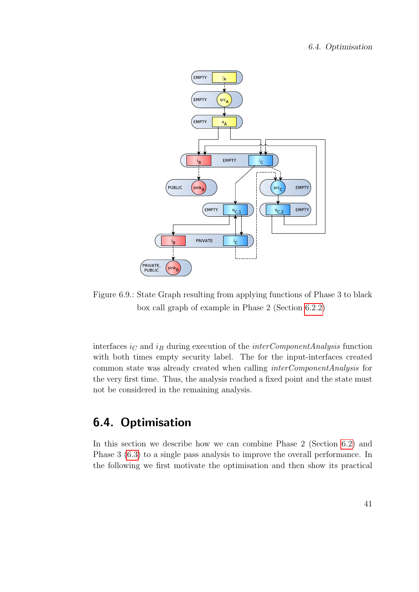<span id="page-50-1"></span>

Figure 6.9.: State Graph resulting from applying functions of Phase 3 to black box call graph of example in Phase 2 (Section [6.2.2\)](#page-40-0)

interfaces  $i<sub>C</sub>$  and  $i<sub>B</sub>$  during execution of the *interComponentAnalysis* function with both times empty security label. The for the input-interfaces created common state was already created when calling interComponentAnalysis for the very first time. Thus, the analysis reached a fixed point and the state must not be considered in the remaining analysis.

# <span id="page-50-0"></span>6.4. Optimisation

In this section we describe how we can combine Phase 2 (Section [6.2\)](#page-36-1) and Phase 3 [\(6.3\)](#page-42-1) to a single pass analysis to improve the overall performance. In the following we first motivate the optimisation and then show its practical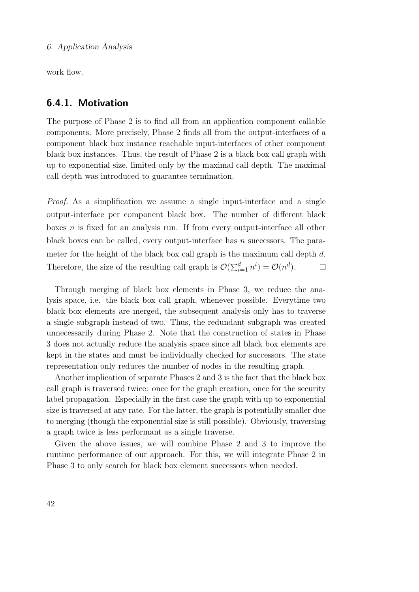work flow.

#### 6.4.1. Motivation

The purpose of Phase 2 is to find all from an application component callable components. More precisely, Phase 2 finds all from the output-interfaces of a component black box instance reachable input-interfaces of other component black box instances. Thus, the result of Phase 2 is a black box call graph with up to exponential size, limited only by the maximal call depth. The maximal call depth was introduced to guarantee termination.

Proof. As a simplification we assume a single input-interface and a single output-interface per component black box. The number of different black boxes n is fixed for an analysis run. If from every output-interface all other black boxes can be called, every output-interface has n successors. The parameter for the height of the black box call graph is the maximum call depth d. Therefore, the size of the resulting call graph is  $\mathcal{O}(\sum_{i=1}^d n^i) = \mathcal{O}(n^d)$ .  $\Box$ 

Through merging of black box elements in Phase 3, we reduce the analysis space, i.e. the black box call graph, whenever possible. Everytime two black box elements are merged, the subsequent analysis only has to traverse a single subgraph instead of two. Thus, the redundant subgraph was created unnecessarily during Phase 2. Note that the construction of states in Phase 3 does not actually reduce the analysis space since all black box elements are kept in the states and must be individually checked for successors. The state representation only reduces the number of nodes in the resulting graph.

Another implication of separate Phases 2 and 3 is the fact that the black box call graph is traversed twice: once for the graph creation, once for the security label propagation. Especially in the first case the graph with up to exponential size is traversed at any rate. For the latter, the graph is potentially smaller due to merging (though the exponential size is still possible). Obviously, traversing a graph twice is less performant as a single traverse.

Given the above issues, we will combine Phase 2 and 3 to improve the runtime performance of our approach. For this, we will integrate Phase 2 in Phase 3 to only search for black box element successors when needed.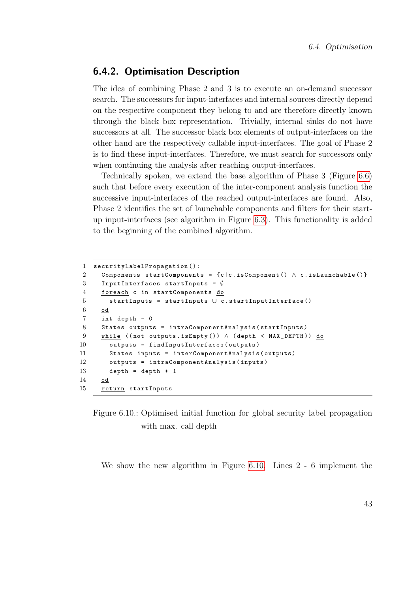#### 6.4.2. Optimisation Description

The idea of combining Phase 2 and 3 is to execute an on-demand successor search. The successors for input-interfaces and internal sources directly depend on the respective component they belong to and are therefore directly known through the black box representation. Trivially, internal sinks do not have successors at all. The successor black box elements of output-interfaces on the other hand are the respectively callable input-interfaces. The goal of Phase 2 is to find these input-interfaces. Therefore, we must search for successors only when continuing the analysis after reaching output-interfaces.

Technically spoken, we extend the base algorithm of Phase 3 (Figure [6.6\)](#page-45-0) such that before every execution of the inter-component analysis function the successive input-interfaces of the reached output-interfaces are found. Also, Phase 2 identifies the set of launchable components and filters for their startup input-interfaces (see algorithm in Figure [6.3\)](#page-38-0). This functionality is added to the beginning of the combined algorithm.

```
1 securityLabelPropagation ():
2 Components startComponents = {c | c. isComponent() \land c. isLaunchable()}
3 InputInterfaces startInputs = ∅
4 foreach c in startComponents do
5 startInputs = startInputs ∪ c . startInputInterface ()
6 od
7 int depth = 0
8 States outputs = intraComponentAnalysis ( startInputs )
9 while ((not outputs.isEmpty()) ∧ (depth < MAX_DEPTH)) do
10 outputs = findInputInterfaces ( outputs )
11 States inputs = interComponentAnalysis ( outputs )
12 outputs = intraComponentAnalysis ( inputs )
13 depth = depth + 1
14 od
15 return startInputs
```
Figure 6.10.: Optimised initial function for global security label propagation with max. call depth

We show the new algorithm in Figure [6.10.](#page-52-0) Lines 2 - 6 implement the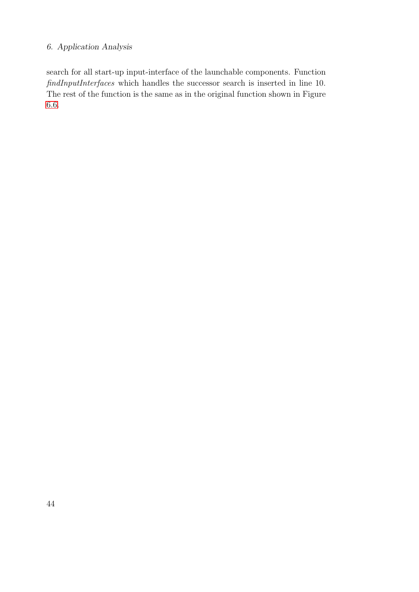search for all start-up input-interface of the launchable components. Function findInputInterfaces which handles the successor search is inserted in line 10. The rest of the function is the same as in the original function shown in Figure [6.6.](#page-45-0)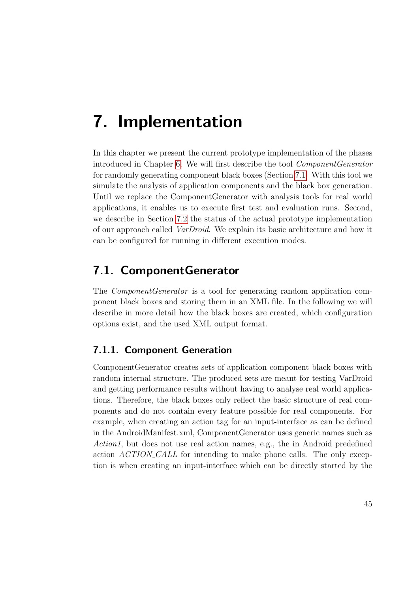In this chapter we present the current prototype implementation of the phases introduced in Chapter [6.](#page-28-0) We will first describe the tool ComponentGenerator for randomly generating component black boxes (Section [7.1.](#page-54-0) With this tool we simulate the analysis of application components and the black box generation. Until we replace the ComponentGenerator with analysis tools for real world applications, it enables us to execute first test and evaluation runs. Second, we describe in Section [7.2](#page-60-0) the status of the actual prototype implementation of our approach called VarDroid. We explain its basic architecture and how it can be configured for running in different execution modes.

# <span id="page-54-0"></span>7.1. ComponentGenerator

The *ComponentGenerator* is a tool for generating random application component black boxes and storing them in an XML file. In the following we will describe in more detail how the black boxes are created, which configuration options exist, and the used XML output format.

# 7.1.1. Component Generation

ComponentGenerator creates sets of application component black boxes with random internal structure. The produced sets are meant for testing VarDroid and getting performance results without having to analyse real world applications. Therefore, the black boxes only reflect the basic structure of real components and do not contain every feature possible for real components. For example, when creating an action tag for an input-interface as can be defined in the AndroidManifest.xml, ComponentGenerator uses generic names such as Action1, but does not use real action names, e.g., the in Android predefined action ACTION\_CALL for intending to make phone calls. The only exception is when creating an input-interface which can be directly started by the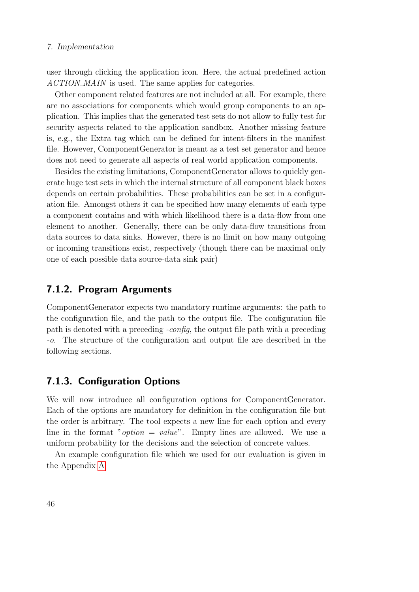user through clicking the application icon. Here, the actual predefined action ACTION\_MAIN is used. The same applies for categories.

Other component related features are not included at all. For example, there are no associations for components which would group components to an application. This implies that the generated test sets do not allow to fully test for security aspects related to the application sandbox. Another missing feature is, e.g., the Extra tag which can be defined for intent-filters in the manifest file. However, ComponentGenerator is meant as a test set generator and hence does not need to generate all aspects of real world application components.

Besides the existing limitations, ComponentGenerator allows to quickly generate huge test sets in which the internal structure of all component black boxes depends on certain probabilities. These probabilities can be set in a configuration file. Amongst others it can be specified how many elements of each type a component contains and with which likelihood there is a data-flow from one element to another. Generally, there can be only data-flow transitions from data sources to data sinks. However, there is no limit on how many outgoing or incoming transitions exist, respectively (though there can be maximal only one of each possible data source-data sink pair)

#### 7.1.2. Program Arguments

ComponentGenerator expects two mandatory runtime arguments: the path to the configuration file, and the path to the output file. The configuration file path is denoted with a preceding -config, the output file path with a preceding -o. The structure of the configuration and output file are described in the following sections.

## 7.1.3. Configuration Options

We will now introduce all configuration options for ComponentGenerator. Each of the options are mandatory for definition in the configuration file but the order is arbitrary. The tool expects a new line for each option and every line in the format "*option* = *value*". Empty lines are allowed. We use a uniform probability for the decisions and the selection of concrete values.

An example configuration file which we used for our evaluation is given in the Appendix [A.](#page-82-0)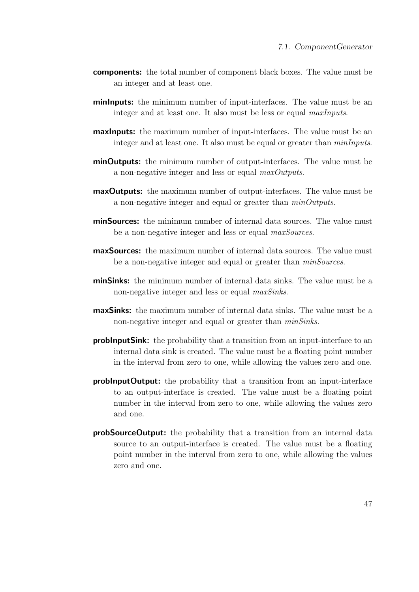- components: the total number of component black boxes. The value must be an integer and at least one.
- **minimizer-** the minimum number of input-interfaces. The value must be an integer and at least one. It also must be less or equal maxInputs.
- **maximum** number of input-interfaces. The value must be an integer and at least one. It also must be equal or greater than  $minInputs$ .
- **minOutputs:** the minimum number of output-interfaces. The value must be a non-negative integer and less or equal maxOutputs.
- **maxOutputs:** the maximum number of output-interfaces. The value must be a non-negative integer and equal or greater than  $minOutputs$ .
- minSources: the minimum number of internal data sources. The value must be a non-negative integer and less or equal maxSources.
- maxSources: the maximum number of internal data sources. The value must be a non-negative integer and equal or greater than  $minSources$ .
- minSinks: the minimum number of internal data sinks. The value must be a non-negative integer and less or equal *maxSinks*.
- maxSinks: the maximum number of internal data sinks. The value must be a non-negative integer and equal or greater than *minSinks*.
- **problinguishing**: the probability that a transition from an input-interface to an internal data sink is created. The value must be a floating point number in the interval from zero to one, while allowing the values zero and one.
- **problishinguiour probability** that a transition from an input-interface to an output-interface is created. The value must be a floating point number in the interval from zero to one, while allowing the values zero and one.
- probSourceOutput: the probability that a transition from an internal data source to an output-interface is created. The value must be a floating point number in the interval from zero to one, while allowing the values zero and one.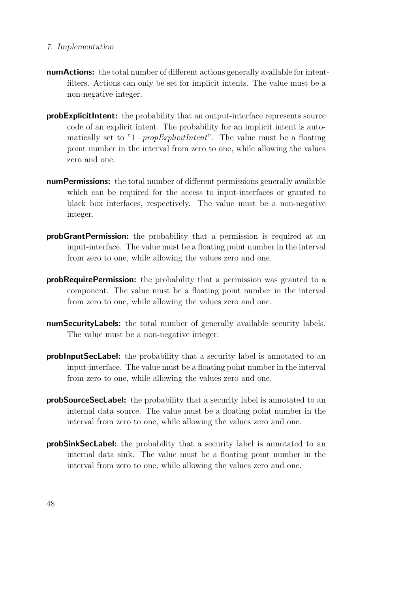- numActions: the total number of different actions generally available for intentfilters. Actions can only be set for implicit intents. The value must be a non-negative integer.
- probExplicitIntent: the probability that an output-interface represents source code of an explicit intent. The probability for an implicit intent is automatically set to "1−propExplicitIntent". The value must be a floating point number in the interval from zero to one, while allowing the values zero and one.
- numPermissions: the total number of different permissions generally available which can be required for the access to input-interfaces or granted to black box interfaces, respectively. The value must be a non-negative integer.
- probGrantPermission: the probability that a permission is required at an input-interface. The value must be a floating point number in the interval from zero to one, while allowing the values zero and one.
- probRequirePermission: the probability that a permission was granted to a component. The value must be a floating point number in the interval from zero to one, while allowing the values zero and one.
- numSecurityLabels: the total number of generally available security labels. The value must be a non-negative integer.
- probInputSecLabel: the probability that a security label is annotated to an input-interface. The value must be a floating point number in the interval from zero to one, while allowing the values zero and one.
- probSourceSecLabel: the probability that a security label is annotated to an internal data source. The value must be a floating point number in the interval from zero to one, while allowing the values zero and one.
- probSinkSecLabel: the probability that a security label is annotated to an internal data sink. The value must be a floating point number in the interval from zero to one, while allowing the values zero and one.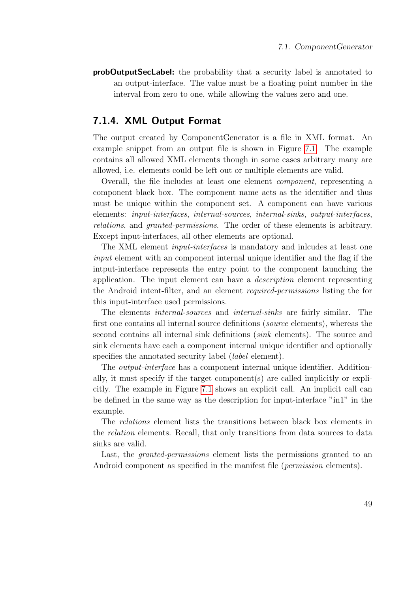probOutputSecLabel: the probability that a security label is annotated to an output-interface. The value must be a floating point number in the interval from zero to one, while allowing the values zero and one.

## 7.1.4. XML Output Format

The output created by ComponentGenerator is a file in XML format. An example snippet from an output file is shown in Figure [7.1.](#page-59-0) The example contains all allowed XML elements though in some cases arbitrary many are allowed, i.e. elements could be left out or multiple elements are valid.

Overall, the file includes at least one element component, representing a component black box. The component name acts as the identifier and thus must be unique within the component set. A component can have various elements: input-interfaces, internal-sources, internal-sinks, output-interfaces, relations, and granted-permissions. The order of these elements is arbitrary. Except input-interfaces, all other elements are optional.

The XML element input-interfaces is mandatory and inlcudes at least one input element with an component internal unique identifier and the flag if the intput-interface represents the entry point to the component launching the application. The input element can have a description element representing the Android intent-filter, and an element required-permissions listing the for this input-interface used permissions.

The elements internal-sources and internal-sinks are fairly similar. The first one contains all internal source definitions (source elements), whereas the second contains all internal sink definitions (sink elements). The source and sink elements have each a component internal unique identifier and optionally specifies the annotated security label (*label* element).

The output-interface has a component internal unique identifier. Additionally, it must specify if the target component(s) are called implicitly or explicitly. The example in Figure [7.1](#page-59-0) shows an explicit call. An implicit call can be defined in the same way as the description for input-interface "in1" in the example.

The relations element lists the transitions between black box elements in the relation elements. Recall, that only transitions from data sources to data sinks are valid.

Last, the *granted-permissions* element lists the permissions granted to an Android component as specified in the manifest file (*permission* elements).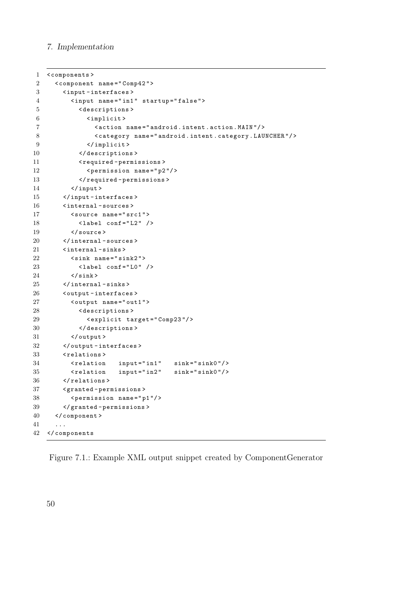```
1 < components >
2 < component name =" Comp42 " >
3 < input - interfaces >
4 < input name =" in1 " startup =" false " >
5 < descriptions >
6 < implicit >
7 < action name =" android . intent . action . MAIN "/ >
8 < category name="android.intent.category.LAUNCHER"/>
9 </ implicit >
10 </descriptions>
11 <required-permissions>
12 <permission name="p2"/>
13 </ required - permissions >
14 </ input >
15 </ input - interfaces >
16 < internal - sources >
17 < source name="src1">
18 < 1abel conf = "L2" />
19 </ source >
20 </internal-sources>
21 < internal - sinks >
22 < sink name =" sink2 " >
23 <label conf="L0" />
24 \langle/sink >
25 </ internal - sinks >
26 < output - interfaces >
27 < output name =" out1 " >
28 < descriptions >
29 <explicit target="Comp23"/>
30 </ descriptions >
31 </ output >
32 </ output - interfaces >
33 < relations >
34 < relation input="in1" sink="sink0"/>
35 < relation input="in2" sink="sink0"/>
36 </ relations >
37 < granted - permissions >
38 < permission name =" p1 "/ >
39 </ granted - permissions >
40 </ component >
41 ...
42 </ components
```
Figure 7.1.: Example XML output snippet created by ComponentGenerator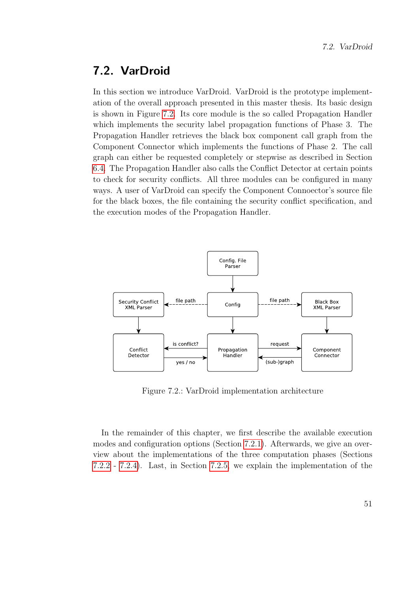# <span id="page-60-0"></span>7.2. VarDroid

In this section we introduce VarDroid. VarDroid is the prototype implementation of the overall approach presented in this master thesis. Its basic design is shown in Figure [7.2.](#page-60-1) Its core module is the so called Propagation Handler which implements the security label propagation functions of Phase 3. The Propagation Handler retrieves the black box component call graph from the Component Connector which implements the functions of Phase 2. The call graph can either be requested completely or stepwise as described in Section [6.4.](#page-50-0) The Propagation Handler also calls the Conflict Detector at certain points to check for security conflicts. All three modules can be configured in many ways. A user of VarDroid can specify the Component Connoector's source file for the black boxes, the file containing the security conflict specification, and the execution modes of the Propagation Handler.

<span id="page-60-1"></span>

Figure 7.2.: VarDroid implementation architecture

In the remainder of this chapter, we first describe the available execution modes and configuration options (Section [7.2.1\)](#page-61-0). Afterwards, we give an overview about the implementations of the three computation phases (Sections [7.2.2](#page-63-0) - [7.2.4\)](#page-64-0). Last, in Section [7.2.5,](#page-65-0) we explain the implementation of the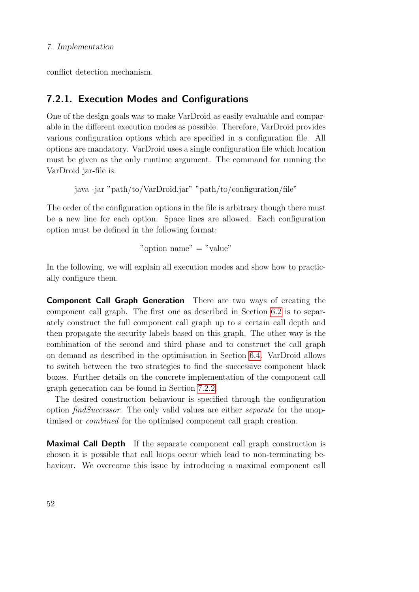conflict detection mechanism.

# <span id="page-61-0"></span>7.2.1. Execution Modes and Configurations

One of the design goals was to make VarDroid as easily evaluable and comparable in the different execution modes as possible. Therefore, VarDroid provides various configuration options which are specified in a configuration file. All options are mandatory. VarDroid uses a single configuration file which location must be given as the only runtime argument. The command for running the VarDroid jar-file is:

java -jar "path/to/VarDroid.jar" "path/to/configuration/file"

The order of the configuration options in the file is arbitrary though there must be a new line for each option. Space lines are allowed. Each configuration option must be defined in the following format:

" $\text{option name}$ " = "value"

In the following, we will explain all execution modes and show how to practically configure them.

Component Call Graph Generation There are two ways of creating the component call graph. The first one as described in Section [6.2](#page-36-1) is to separately construct the full component call graph up to a certain call depth and then propagate the security labels based on this graph. The other way is the combination of the second and third phase and to construct the call graph on demand as described in the optimisation in Section [6.4.](#page-50-0) VarDroid allows to switch between the two strategies to find the successive component black boxes. Further details on the concrete implementation of the component call graph generation can be found in Section [7.2.2.](#page-63-0)

The desired construction behaviour is specified through the configuration option findSuccessor. The only valid values are either separate for the unoptimised or combined for the optimised component call graph creation.

Maximal Call Depth If the separate component call graph construction is chosen it is possible that call loops occur which lead to non-terminating behaviour. We overcome this issue by introducing a maximal component call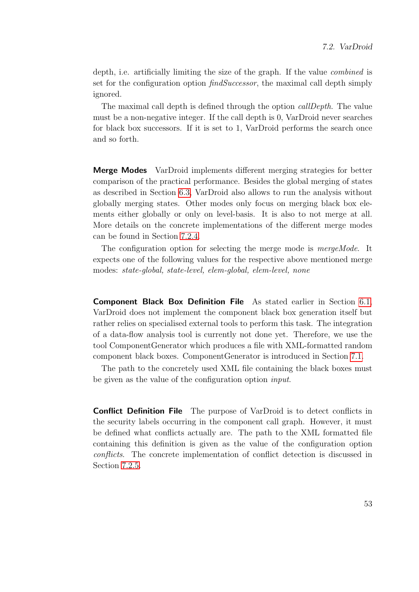depth, i.e. artificially limiting the size of the graph. If the value combined is set for the configuration option  $findSuccessor$ , the maximal call depth simply ignored.

The maximal call depth is defined through the option *callDepth*. The value must be a non-negative integer. If the call depth is 0, VarDroid never searches for black box successors. If it is set to 1, VarDroid performs the search once and so forth.

**Merge Modes** VarDroid implements different merging strategies for better comparison of the practical performance. Besides the global merging of states as described in Section [6.3,](#page-42-1) VarDroid also allows to run the analysis without globally merging states. Other modes only focus on merging black box elements either globally or only on level-basis. It is also to not merge at all. More details on the concrete implementations of the different merge modes can be found in Section [7.2.4.](#page-64-0)

The configuration option for selecting the merge mode is *mergeMode*. It expects one of the following values for the respective above mentioned merge modes: state-global, state-level, elem-global, elem-level, none

Component Black Box Definition File As stated earlier in Section [6.1,](#page-29-0) VarDroid does not implement the component black box generation itself but rather relies on specialised external tools to perform this task. The integration of a data-flow analysis tool is currently not done yet. Therefore, we use the tool ComponentGenerator which produces a file with XML-formatted random component black boxes. ComponentGenerator is introduced in Section [7.1.](#page-54-0)

The path to the concretely used XML file containing the black boxes must be given as the value of the configuration option input.

**Conflict Definition File** The purpose of VarDroid is to detect conflicts in the security labels occurring in the component call graph. However, it must be defined what conflicts actually are. The path to the XML formatted file containing this definition is given as the value of the configuration option conflicts. The concrete implementation of conflict detection is discussed in Section [7.2.5.](#page-65-0)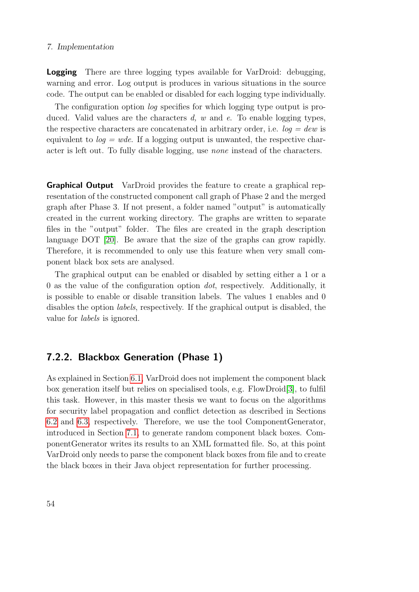**Logging** There are three logging types available for VarDroid: debugging, warning and error. Log output is produces in various situations in the source code. The output can be enabled or disabled for each logging type individually.

The configuration option *log* specifies for which logging type output is produced. Valid values are the characters  $d, w$  and  $e$ . To enable logging types, the respective characters are concatenated in arbitrary order, i.e.  $log = dew$  is equivalent to  $log = wde$ . If a logging output is unwanted, the respective character is left out. To fully disable logging, use none instead of the characters.

**Graphical Output** VarDroid provides the feature to create a graphical representation of the constructed component call graph of Phase 2 and the merged graph after Phase 3. If not present, a folder named "output" is automatically created in the current working directory. The graphs are written to separate files in the "output" folder. The files are created in the graph description language DOT [\[20\]](#page-86-0). Be aware that the size of the graphs can grow rapidly. Therefore, it is recommended to only use this feature when very small component black box sets are analysed.

The graphical output can be enabled or disabled by setting either a 1 or a 0 as the value of the configuration option dot, respectively. Additionally, it is possible to enable or disable transition labels. The values 1 enables and 0 disables the option labels, respectively. If the graphical output is disabled, the value for labels is ignored.

# <span id="page-63-0"></span>7.2.2. Blackbox Generation (Phase 1)

As explained in Section [6.1,](#page-29-0) VarDroid does not implement the component black box generation itself but relies on specialised tools, e.g. FlowDroid[\[3\]](#page-84-0), to fulfil this task. However, in this master thesis we want to focus on the algorithms for security label propagation and conflict detection as described in Sections [6.2](#page-36-1) and [6.3,](#page-42-1) respectively. Therefore, we use the tool ComponentGenerator, introduced in Section [7.1,](#page-54-0) to generate random component black boxes. ComponentGenerator writes its results to an XML formatted file. So, at this point VarDroid only needs to parse the component black boxes from file and to create the black boxes in their Java object representation for further processing.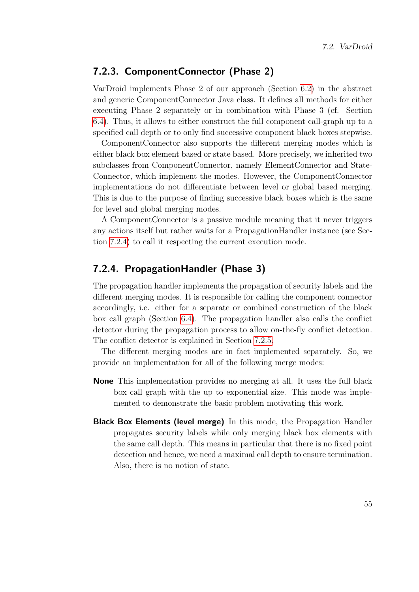## 7.2.3. ComponentConnector (Phase 2)

VarDroid implements Phase 2 of our approach (Section [6.2\)](#page-36-1) in the abstract and generic ComponentConnector Java class. It defines all methods for either executing Phase 2 separately or in combination with Phase 3 (cf. Section [6.4\)](#page-50-0). Thus, it allows to either construct the full component call-graph up to a specified call depth or to only find successive component black boxes stepwise.

ComponentConnector also supports the different merging modes which is either black box element based or state based. More precisely, we inherited two subclasses from ComponentConnector, namely ElementConnector and State-Connector, which implement the modes. However, the ComponentConnector implementations do not differentiate between level or global based merging. This is due to the purpose of finding successive black boxes which is the same for level and global merging modes.

A ComponentConnector is a passive module meaning that it never triggers any actions itself but rather waits for a PropagationHandler instance (see Section [7.2.4\)](#page-64-0) to call it respecting the current execution mode.

## <span id="page-64-0"></span>7.2.4. PropagationHandler (Phase 3)

The propagation handler implements the propagation of security labels and the different merging modes. It is responsible for calling the component connector accordingly, i.e. either for a separate or combined construction of the black box call graph (Section [6.4\)](#page-50-0). The propagation handler also calls the conflict detector during the propagation process to allow on-the-fly conflict detection. The conflict detector is explained in Section [7.2.5.](#page-65-0)

The different merging modes are in fact implemented separately. So, we provide an implementation for all of the following merge modes:

- None This implementation provides no merging at all. It uses the full black box call graph with the up to exponential size. This mode was implemented to demonstrate the basic problem motivating this work.
- **Black Box Elements (level merge)** In this mode, the Propagation Handler propagates security labels while only merging black box elements with the same call depth. This means in particular that there is no fixed point detection and hence, we need a maximal call depth to ensure termination. Also, there is no notion of state.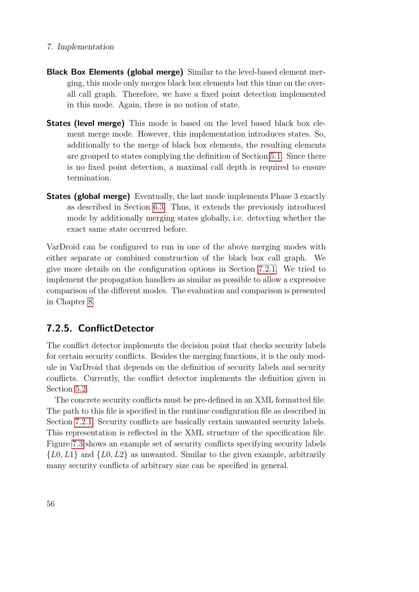- Black Box Elements (global merge) Similar to the level-based element merging, this mode only merges black box elements but this time on the overall call graph. Therefore, we have a fixed point detection implemented in this mode. Again, there is no notion of state.
- **States (level merge)** This mode is based on the level based black box element merge mode. However, this implementation introduces states. So, additionally to the merge of black box elements, the resulting elements are grouped to states complying the definition of Section [5.1.](#page-24-1) Since there is no fixed point detection, a maximal call depth is required to ensure termination.
- States (global merge) Eventually, the last mode implements Phase 3 exactly as described in Section [6.3.](#page-42-1) Thus, it extends the previously introduced mode by additionally merging states globally, i.e. detecting whether the exact same state occurred before.

VarDroid can be configured to run in one of the above merging modes with either separate or combined construction of the black box call graph. We give more details on the configuration options in Section [7.2.1.](#page-61-0) We tried to implement the propagation handlers as similar as possible to allow a expressive comparison of the different modes. The evaluation and comparison is presented in Chapter [8.](#page-68-0)

# <span id="page-65-0"></span>7.2.5. ConflictDetector

The conflict detector implements the decision point that checks security labels for certain security conflicts. Besides the merging functions, it is the only module in VarDroid that depends on the definition of security labels and security conflicts. Currently, the conflict detector implements the definition given in Section [5.2.](#page-25-0)

The concrete security conflicts must be pre-defined in an XML formatted file. The path to this file is specified in the runtime configuration file as described in Section [7.2.1.](#page-61-0) Security conflicts are basically certain unwanted security labels. This representation is reflected in the XML structure of the specification file. Figure [7.3](#page-66-0) shows an example set of security conflicts specifying security labels  $\{L0, L1\}$  and  $\{L0, L2\}$  as unwanted. Similar to the given example, arbitrarily many security conflicts of arbitrary size can be specified in general.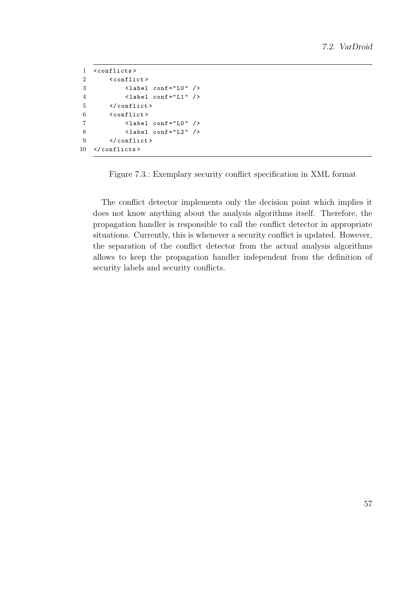```
1 < conflicts >
2 < conflict >
3 < label conf =" L0 " / >
4 < label conf =" L1 " / >
5 </ conflict >
6 < conflict >
7 < label conf =" L0 " />
8 < 1abel conf = "L2" />
9 </ conflict >
10 </ conflicts >
```
Figure 7.3.: Exemplary security conflict specification in XML format

The conflict detector implements only the decision point which implies it does not know anything about the analysis algorithms itself. Therefore, the propagation handler is responsible to call the conflict detector in appropriate situations. Currently, this is whenever a security conflict is updated. However, the separation of the conflict detector from the actual analysis algorithms allows to keep the propagation handler independent from the definition of security labels and security conflicts.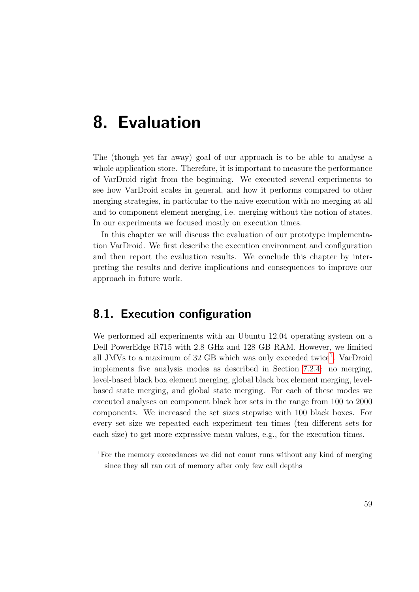# <span id="page-68-0"></span>8. Evaluation

The (though yet far away) goal of our approach is to be able to analyse a whole application store. Therefore, it is important to measure the performance of VarDroid right from the beginning. We executed several experiments to see how VarDroid scales in general, and how it performs compared to other merging strategies, in particular to the naive execution with no merging at all and to component element merging, i.e. merging without the notion of states. In our experiments we focused mostly on execution times.

In this chapter we will discuss the evaluation of our prototype implementation VarDroid. We first describe the execution environment and configuration and then report the evaluation results. We conclude this chapter by interpreting the results and derive implications and consequences to improve our approach in future work.

# 8.1. Execution configuration

We performed all experiments with an Ubuntu 12.04 operating system on a Dell PowerEdge R715 with 2.8 GHz and 128 GB RAM. However, we limited all JMVs to a maximum of 32 GB which was only exceeded twice<sup>[1](#page-68-1)</sup>. VarDroid implements five analysis modes as described in Section [7.2.4:](#page-64-0) no merging, level-based black box element merging, global black box element merging, levelbased state merging, and global state merging. For each of these modes we executed analyses on component black box sets in the range from 100 to 2000 components. We increased the set sizes stepwise with 100 black boxes. For every set size we repeated each experiment ten times (ten different sets for each size) to get more expressive mean values, e.g., for the execution times.

<span id="page-68-1"></span><sup>1</sup>For the memory exceedances we did not count runs without any kind of merging since they all ran out of memory after only few call depths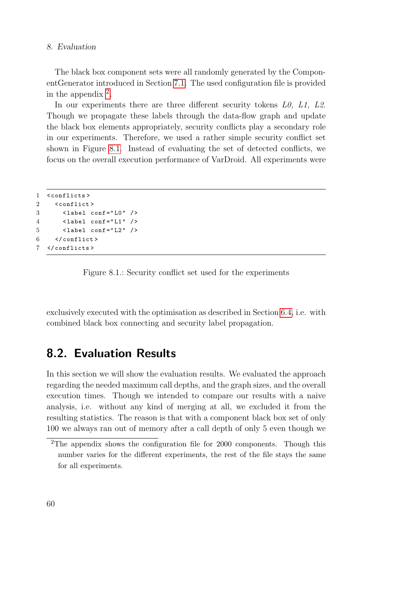#### 8. Evaluation

The black box component sets were all randomly generated by the ComponentGenerator introduced in Section [7.1.](#page-54-0) The used configuration file is provided in the appendix  $2$ .

In our experiments there are three different security tokens L0, L1, L2. Though we propagate these labels through the data-flow graph and update the black box elements appropriately, security conflicts play a secondary role in our experiments. Therefore, we used a rather simple security conflict set shown in Figure [8.1.](#page-69-1) Instead of evaluating the set of detected conflicts, we focus on the overall execution performance of VarDroid. All experiments were

```
1 < conflicts >
2 < conflict >
3 < label conf =" L0 " / >
4 < label conf =" L1 " / >
5 < label conf =" L2 " / >
6 \le \sqrt{\text{conflict}}7 </ conflicts >
```
Figure 8.1.: Security conflict set used for the experiments

exclusively executed with the optimisation as described in Section [6.4,](#page-50-0) i.e. with combined black box connecting and security label propagation.

# 8.2. Evaluation Results

In this section we will show the evaluation results. We evaluated the approach regarding the needed maximum call depths, and the graph sizes, and the overall execution times. Though we intended to compare our results with a naive analysis, i.e. without any kind of merging at all, we excluded it from the resulting statistics. The reason is that with a component black box set of only 100 we always ran out of memory after a call depth of only 5 even though we

<span id="page-69-0"></span><sup>&</sup>lt;sup>2</sup>The appendix shows the configuration file for 2000 components. Though this number varies for the different experiments, the rest of the file stays the same for all experiments.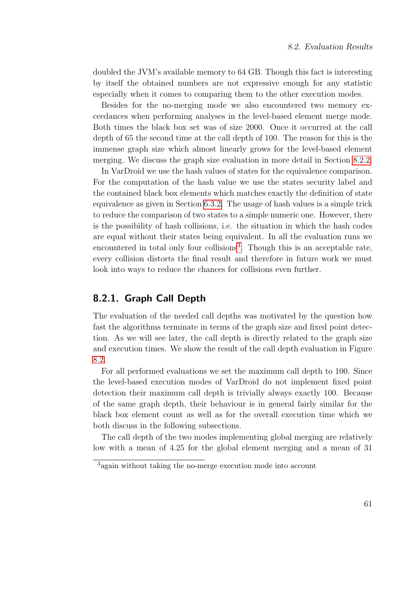doubled the JVM's available memory to 64 GB. Though this fact is interesting by itself the obtained numbers are not expressive enough for any statistic especially when it comes to comparing them to the other execution modes.

Besides for the no-merging mode we also encountered two memory exceedances when performing analyses in the level-based element merge mode. Both times the black box set was of size 2000. Once it occurred at the call depth of 65 the second time at the call depth of 100. The reason for this is the immense graph size which almost linearly grows for the level-based element merging. We discuss the graph size evaluation in more detail in Section [8.2.2.](#page-71-0)

In VarDroid we use the hash values of states for the equivalence comparison. For the computation of the hash value we use the states security label and the contained black box elements which matches exactly the definition of state equivalence as given in Section [6.3.2.](#page-43-0) The usage of hash values is a simple trick to reduce the comparison of two states to a simple numeric one. However, there is the possibility of hash collisions, i.e. the situation in which the hash codes are equal without their states being equivalent. In all the evaluation runs we encountered in total only four collisions<sup>[3](#page-70-0)</sup>. Though this is an acceptable rate, every collision distorts the final result and therefore in future work we must look into ways to reduce the chances for collisions even further.

# 8.2.1. Graph Call Depth

The evaluation of the needed call depths was motivated by the question how fast the algorithms terminate in terms of the graph size and fixed point detection. As we will see later, the call depth is directly related to the graph size and execution times. We show the result of the call depth evaluation in Figure [8.2.](#page-71-1)

For all performed evaluations we set the maximum call depth to 100. Since the level-based execution modes of VarDroid do not implement fixed point detection their maximum call depth is trivially always exactly 100. Because of the same graph depth, their behaviour is in general fairly similar for the black box element count as well as for the overall execution time which we both discuss in the following subsections.

The call depth of the two modes implementing global merging are relatively low with a mean of 4.25 for the global element merging and a mean of 31

<span id="page-70-0"></span><sup>3</sup>again without taking the no-merge execution mode into account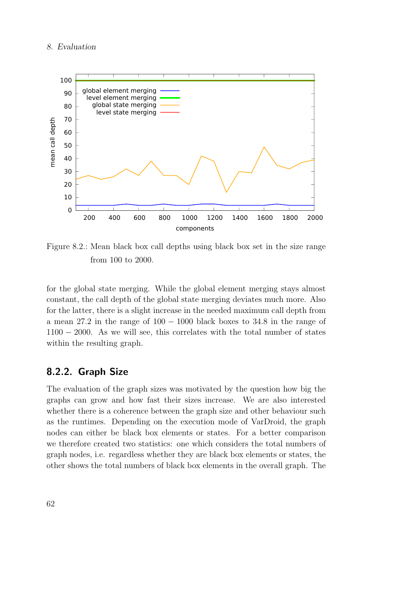#### 8. Evaluation

<span id="page-71-1"></span>

Figure 8.2.: Mean black box call depths using black box set in the size range from 100 to 2000.

for the global state merging. While the global element merging stays almost constant, the call depth of the global state merging deviates much more. Also for the latter, there is a slight increase in the needed maximum call depth from a mean 27.2 in the range of 100 − 1000 black boxes to 34.8 in the range of 1100 − 2000. As we will see, this correlates with the total number of states within the resulting graph.

# <span id="page-71-0"></span>8.2.2. Graph Size

The evaluation of the graph sizes was motivated by the question how big the graphs can grow and how fast their sizes increase. We are also interested whether there is a coherence between the graph size and other behaviour such as the runtimes. Depending on the execution mode of VarDroid, the graph nodes can either be black box elements or states. For a better comparison we therefore created two statistics: one which considers the total numbers of graph nodes, i.e. regardless whether they are black box elements or states, the other shows the total numbers of black box elements in the overall graph. The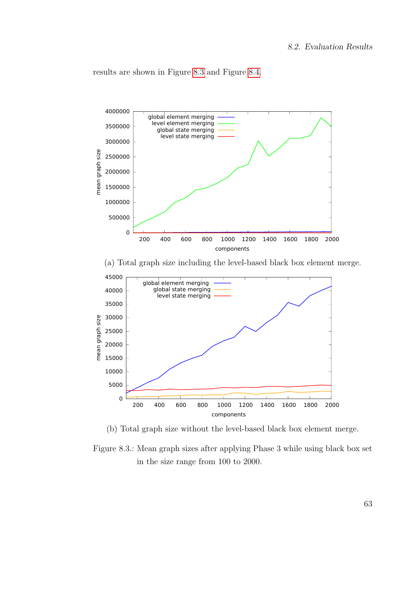results are shown in Figure [8.3](#page-72-0) and Figure [8.4.](#page-73-0)

<span id="page-72-0"></span>

(b) Total graph size without the level-based black box element merge.

Figure 8.3.: Mean graph sizes after applying Phase 3 while using black box set in the size range from 100 to 2000.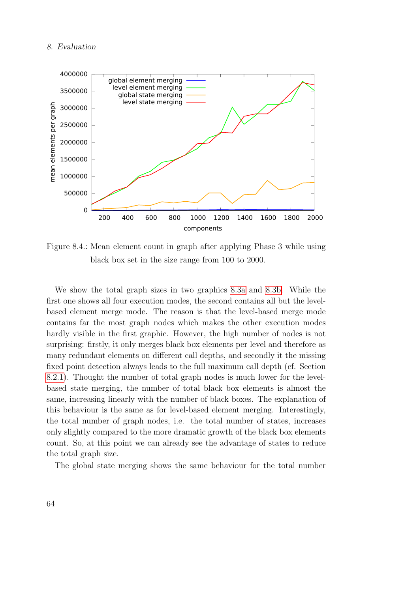#### 8. Evaluation

<span id="page-73-0"></span>

Figure 8.4.: Mean element count in graph after applying Phase 3 while using black box set in the size range from 100 to 2000.

We show the total graph sizes in two graphics [8.3a](#page-72-0) and [8.3b.](#page-72-0) While the first one shows all four execution modes, the second contains all but the levelbased element merge mode. The reason is that the level-based merge mode contains far the most graph nodes which makes the other execution modes hardly visible in the first graphic. However, the high number of nodes is not surprising: firstly, it only merges black box elements per level and therefore as many redundant elements on different call depths, and secondly it the missing fixed point detection always leads to the full maximum call depth (cf. Section [8.2.1\)](#page-70-0). Thought the number of total graph nodes is much lower for the levelbased state merging, the number of total black box elements is almost the same, increasing linearly with the number of black boxes. The explanation of this behaviour is the same as for level-based element merging. Interestingly, the total number of graph nodes, i.e. the total number of states, increases only slightly compared to the more dramatic growth of the black box elements count. So, at this point we can already see the advantage of states to reduce the total graph size.

The global state merging shows the same behaviour for the total number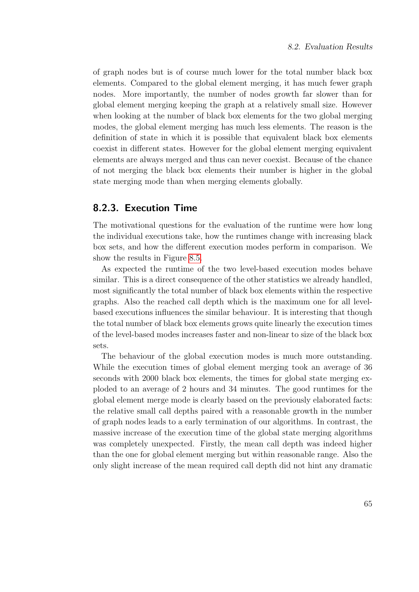of graph nodes but is of course much lower for the total number black box elements. Compared to the global element merging, it has much fewer graph nodes. More importantly, the number of nodes growth far slower than for global element merging keeping the graph at a relatively small size. However when looking at the number of black box elements for the two global merging modes, the global element merging has much less elements. The reason is the definition of state in which it is possible that equivalent black box elements coexist in different states. However for the global element merging equivalent elements are always merged and thus can never coexist. Because of the chance of not merging the black box elements their number is higher in the global state merging mode than when merging elements globally.

### 8.2.3. Execution Time

The motivational questions for the evaluation of the runtime were how long the individual executions take, how the runtimes change with increasing black box sets, and how the different execution modes perform in comparison. We show the results in Figure [8.5.](#page-75-0)

As expected the runtime of the two level-based execution modes behave similar. This is a direct consequence of the other statistics we already handled, most significantly the total number of black box elements within the respective graphs. Also the reached call depth which is the maximum one for all levelbased executions influences the similar behaviour. It is interesting that though the total number of black box elements grows quite linearly the execution times of the level-based modes increases faster and non-linear to size of the black box sets.

The behaviour of the global execution modes is much more outstanding. While the execution times of global element merging took an average of 36 seconds with 2000 black box elements, the times for global state merging exploded to an average of 2 hours and 34 minutes. The good runtimes for the global element merge mode is clearly based on the previously elaborated facts: the relative small call depths paired with a reasonable growth in the number of graph nodes leads to a early termination of our algorithms. In contrast, the massive increase of the execution time of the global state merging algorithms was completely unexpected. Firstly, the mean call depth was indeed higher than the one for global element merging but within reasonable range. Also the only slight increase of the mean required call depth did not hint any dramatic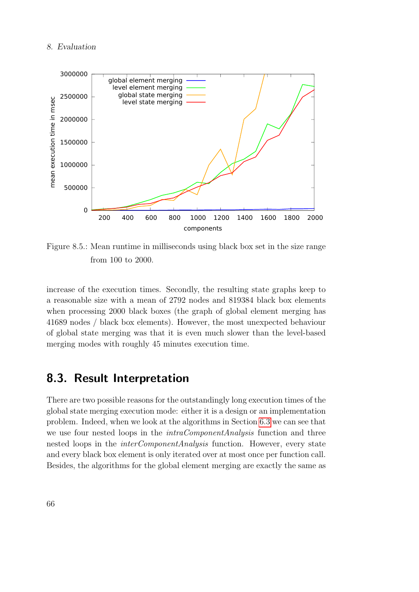#### 8. Evaluation

<span id="page-75-0"></span>

Figure 8.5.: Mean runtime in milliseconds using black box set in the size range from 100 to 2000.

increase of the execution times. Secondly, the resulting state graphs keep to a reasonable size with a mean of 2792 nodes and 819384 black box elements when processing 2000 black boxes (the graph of global element merging has 41689 nodes / black box elements). However, the most unexpected behaviour of global state merging was that it is even much slower than the level-based merging modes with roughly 45 minutes execution time.

### 8.3. Result Interpretation

There are two possible reasons for the outstandingly long execution times of the global state merging execution mode: either it is a design or an implementation problem. Indeed, when we look at the algorithms in Section [6.3](#page-42-0) we can see that we use four nested loops in the *intraComponentAnalysis* function and three nested loops in the *interComponentAnalysis* function. However, every state and every black box element is only iterated over at most once per function call. Besides, the algorithms for the global element merging are exactly the same as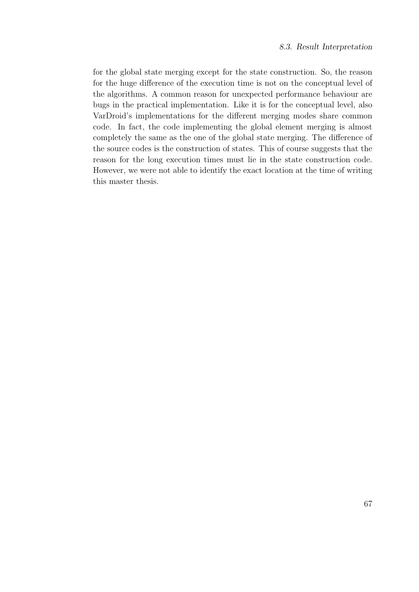for the global state merging except for the state construction. So, the reason for the huge difference of the execution time is not on the conceptual level of the algorithms. A common reason for unexpected performance behaviour are bugs in the practical implementation. Like it is for the conceptual level, also VarDroid's implementations for the different merging modes share common code. In fact, the code implementing the global element merging is almost completely the same as the one of the global state merging. The difference of the source codes is the construction of states. This of course suggests that the reason for the long execution times must lie in the state construction code. However, we were not able to identify the exact location at the time of writing this master thesis.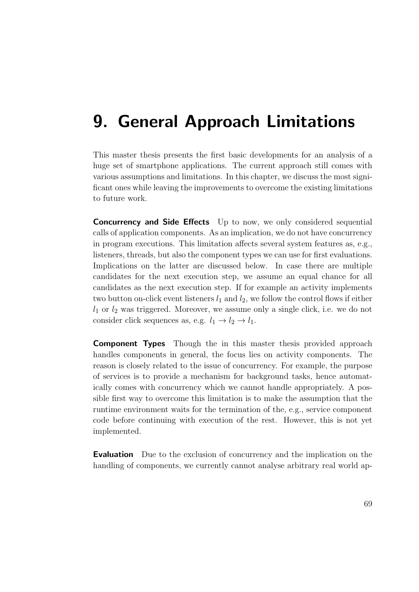# 9. General Approach Limitations

This master thesis presents the first basic developments for an analysis of a huge set of smartphone applications. The current approach still comes with various assumptions and limitations. In this chapter, we discuss the most significant ones while leaving the improvements to overcome the existing limitations to future work.

**Concurrency and Side Effects** Up to now, we only considered sequential calls of application components. As an implication, we do not have concurrency in program executions. This limitation affects several system features as, e.g., listeners, threads, but also the component types we can use for first evaluations. Implications on the latter are discussed below. In case there are multiple candidates for the next execution step, we assume an equal chance for all candidates as the next execution step. If for example an activity implements two button on-click event listeners  $l_1$  and  $l_2$ , we follow the control flows if either  $l_1$  or  $l_2$  was triggered. Moreover, we assume only a single click, i.e. we do not consider click sequences as, e.g.  $l_1 \rightarrow l_2 \rightarrow l_1$ .

**Component Types** Though the in this master thesis provided approach handles components in general, the focus lies on activity components. The reason is closely related to the issue of concurrency. For example, the purpose of services is to provide a mechanism for background tasks, hence automatically comes with concurrency which we cannot handle appropriately. A possible first way to overcome this limitation is to make the assumption that the runtime environment waits for the termination of the, e.g., service component code before continuing with execution of the rest. However, this is not yet implemented.

**Evaluation** Due to the exclusion of concurrency and the implication on the handling of components, we currently cannot analyse arbitrary real world ap-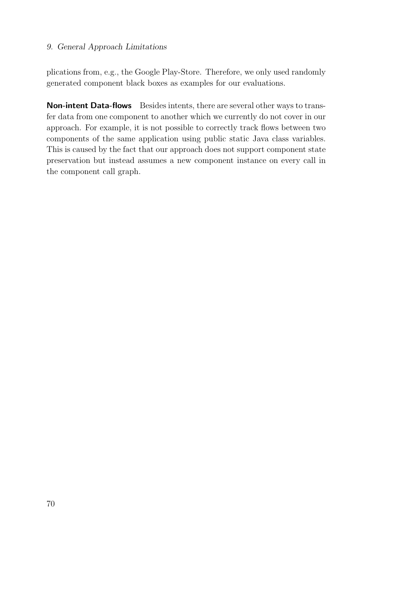### 9. General Approach Limitations

plications from, e.g., the Google Play-Store. Therefore, we only used randomly generated component black boxes as examples for our evaluations.

Non-intent Data-flows Besides intents, there are several other ways to transfer data from one component to another which we currently do not cover in our approach. For example, it is not possible to correctly track flows between two components of the same application using public static Java class variables. This is caused by the fact that our approach does not support component state preservation but instead assumes a new component instance on every call in the component call graph.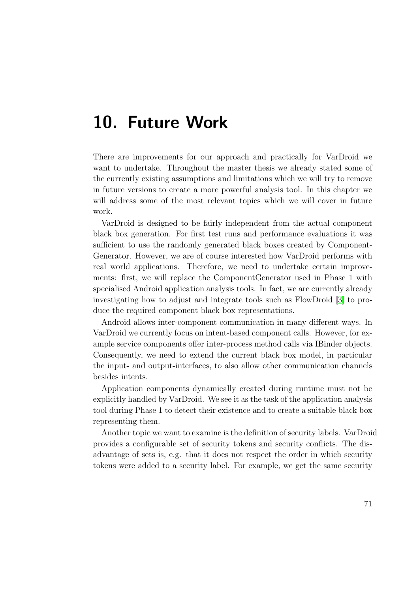## 10. Future Work

There are improvements for our approach and practically for VarDroid we want to undertake. Throughout the master thesis we already stated some of the currently existing assumptions and limitations which we will try to remove in future versions to create a more powerful analysis tool. In this chapter we will address some of the most relevant topics which we will cover in future work.

VarDroid is designed to be fairly independent from the actual component black box generation. For first test runs and performance evaluations it was sufficient to use the randomly generated black boxes created by Component-Generator. However, we are of course interested how VarDroid performs with real world applications. Therefore, we need to undertake certain improvements: first, we will replace the ComponentGenerator used in Phase 1 with specialised Android application analysis tools. In fact, we are currently already investigating how to adjust and integrate tools such as FlowDroid [\[3\]](#page-84-0) to produce the required component black box representations.

Android allows inter-component communication in many different ways. In VarDroid we currently focus on intent-based component calls. However, for example service components offer inter-process method calls via IBinder objects. Consequently, we need to extend the current black box model, in particular the input- and output-interfaces, to also allow other communication channels besides intents.

Application components dynamically created during runtime must not be explicitly handled by VarDroid. We see it as the task of the application analysis tool during Phase 1 to detect their existence and to create a suitable black box representing them.

Another topic we want to examine is the definition of security labels. VarDroid provides a configurable set of security tokens and security conflicts. The disadvantage of sets is, e.g. that it does not respect the order in which security tokens were added to a security label. For example, we get the same security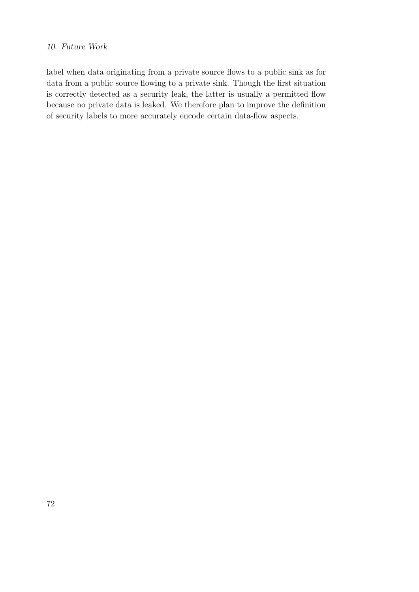### 10. Future Work

label when data originating from a private source flows to a public sink as for data from a public source flowing to a private sink. Though the first situation is correctly detected as a security leak, the latter is usually a permitted flow because no private data is leaked. We therefore plan to improve the definition of security labels to more accurately encode certain data-flow aspects.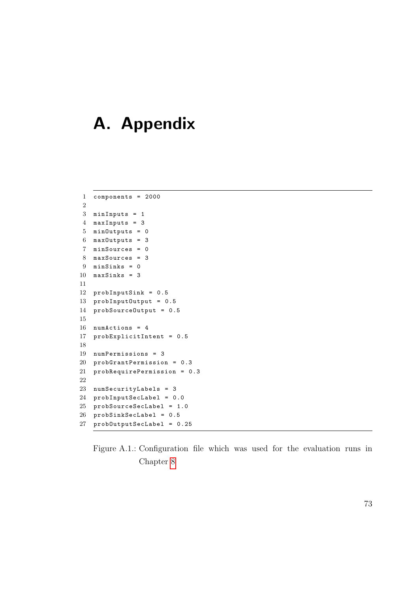# A. Appendix

```
1 components = 2000
2
3 minInputs = 1
4 maxInputs = 3
5 minOutputs = 0
6 maxOutputs = 3
7 minSources = 0
8 maxSources = 3
9 minSinks = 0
10 maxSinks = 311
12 probInputSink = 0.5
13 probInputOutput = 0.5
14 probSourceOutput = 0.5
15
16 numActions = 4
17 probExplicitIntent = 0.5
18
19 numPermissions = 3
20 probGrantPermission = 0.3
21 probRequirePermission = 0.3
22
23 numSecurityLabels = 3
24 probInputSecLabel = 0.0
25 probSourceSecLabel = 1.0
26 probSinkSecLabel = 0.5
27 probOutputSecLabel = 0.25
```
Figure A.1.: Configuration file which was used for the evaluation runs in Chapter [8](#page-68-0)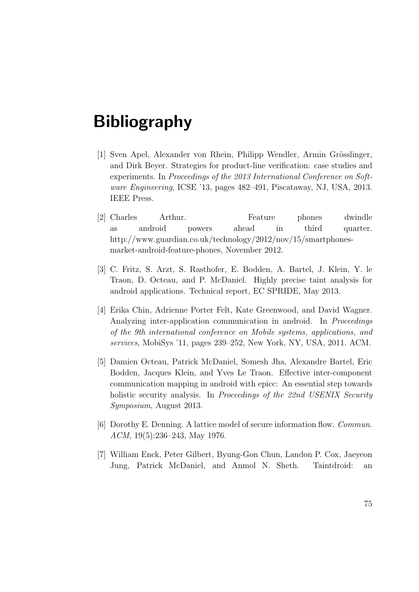# Bibliography

- [1] Sven Apel, Alexander von Rhein, Philipp Wendler, Armin Grösslinger, and Dirk Beyer. Strategies for product-line verification: case studies and experiments. In Proceedings of the 2013 International Conference on Software Engineering, ICSE '13, pages 482–491, Piscataway, NJ, USA, 2013. IEEE Press.
- [2] Charles Arthur. Feature phones dwindle as android powers ahead in third quarter. http://www.guardian.co.uk/technology/2012/nov/15/smartphonesmarket-android-feature-phones, November 2012.
- <span id="page-84-0"></span>[3] C. Fritz, S. Arzt, S. Rasthofer, E. Bodden, A. Bartel, J. Klein, Y. le Traon, D. Octeau, and P. McDaniel. Highly precise taint analysis for android applications. Technical report, EC SPRIDE, May 2013.
- [4] Erika Chin, Adrienne Porter Felt, Kate Greenwood, and David Wagner. Analyzing inter-application communication in android. In *Proceedings* of the 9th international conference on Mobile systems, applications, and services, MobiSys '11, pages 239–252, New York, NY, USA, 2011. ACM.
- [5] Damien Octeau, Patrick McDaniel, Somesh Jha, Alexandre Bartel, Eric Bodden, Jacques Klein, and Yves Le Traon. Effective inter-component communication mapping in android with epicc: An essential step towards holistic security analysis. In Proceedings of the 22nd USENIX Security Symposium, August 2013.
- [6] Dorothy E. Denning. A lattice model of secure information flow. Commun. ACM, 19(5):236–243, May 1976.
- [7] William Enck, Peter Gilbert, Byung-Gon Chun, Landon P. Cox, Jaeyeon Jung, Patrick McDaniel, and Anmol N. Sheth. Taintdroid: an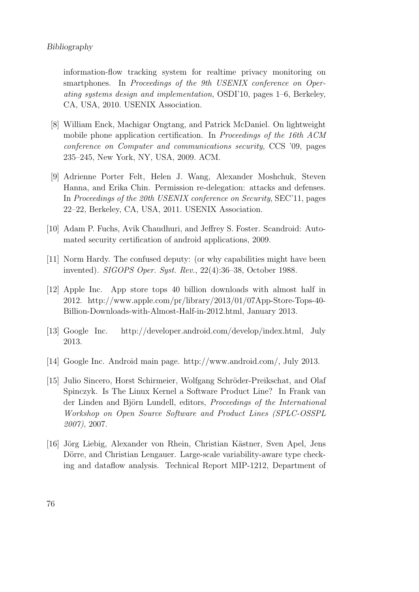#### Bibliography

information-flow tracking system for realtime privacy monitoring on smartphones. In Proceedings of the 9th USENIX conference on Operating systems design and implementation, OSDI'10, pages 1–6, Berkeley, CA, USA, 2010. USENIX Association.

- [8] William Enck, Machigar Ongtang, and Patrick McDaniel. On lightweight mobile phone application certification. In Proceedings of the 16th ACM conference on Computer and communications security, CCS '09, pages 235–245, New York, NY, USA, 2009. ACM.
- [9] Adrienne Porter Felt, Helen J. Wang, Alexander Moshchuk, Steven Hanna, and Erika Chin. Permission re-delegation: attacks and defenses. In Proceedings of the 20th USENIX conference on Security, SEC'11, pages 22–22, Berkeley, CA, USA, 2011. USENIX Association.
- [10] Adam P. Fuchs, Avik Chaudhuri, and Jeffrey S. Foster. Scandroid: Automated security certification of android applications, 2009.
- [11] Norm Hardy. The confused deputy: (or why capabilities might have been invented). SIGOPS Oper. Syst. Rev., 22(4):36–38, October 1988.
- [12] Apple Inc. App store tops 40 billion downloads with almost half in 2012. http://www.apple.com/pr/library/2013/01/07App-Store-Tops-40- Billion-Downloads-with-Almost-Half-in-2012.html, January 2013.
- [13] Google Inc. http://developer.android.com/develop/index.html, July 2013.
- [14] Google Inc. Android main page. http://www.android.com/, July 2013.
- [15] Julio Sincero, Horst Schirmeier, Wolfgang Schröder-Preikschat, and Olaf Spinczyk. Is The Linux Kernel a Software Product Line? In Frank van der Linden and Björn Lundell, editors, Proceedings of the International Workshop on Open Source Software and Product Lines (SPLC-OSSPL 2007), 2007.
- [16] Jörg Liebig, Alexander von Rhein, Christian Kästner, Sven Apel, Jens Dörre, and Christian Lengauer. Large-scale variability-aware type checking and dataflow analysis. Technical Report MIP-1212, Department of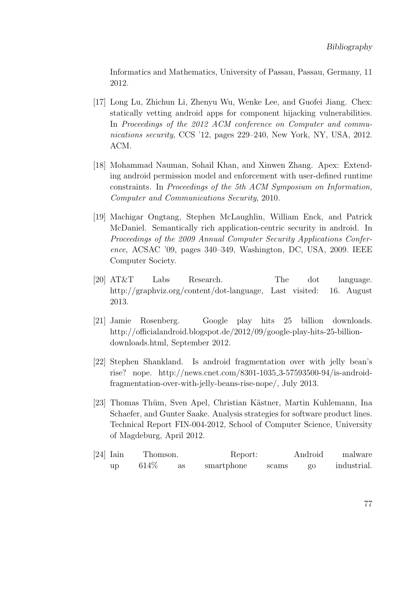Informatics and Mathematics, University of Passau, Passau, Germany, 11 2012.

- [17] Long Lu, Zhichun Li, Zhenyu Wu, Wenke Lee, and Guofei Jiang. Chex: statically vetting android apps for component hijacking vulnerabilities. In Proceedings of the 2012 ACM conference on Computer and communications security, CCS '12, pages 229–240, New York, NY, USA, 2012. ACM.
- [18] Mohammad Nauman, Sohail Khan, and Xinwen Zhang. Apex: Extending android permission model and enforcement with user-defined runtime constraints. In Proceedings of the 5th ACM Symposium on Information, Computer and Communications Security, 2010.
- [19] Machigar Ongtang, Stephen McLaughlin, William Enck, and Patrick McDaniel. Semantically rich application-centric security in android. In Proceedings of the 2009 Annual Computer Security Applications Conference, ACSAC '09, pages 340–349, Washington, DC, USA, 2009. IEEE Computer Society.
- [20] AT&T Labs Research. The dot language. http://graphviz.org/content/dot-language, Last visited: 16. August 2013.
- [21] Jamie Rosenberg. Google play hits 25 billion downloads. http://officialandroid.blogspot.de/2012/09/google-play-hits-25-billiondownloads.html, September 2012.
- [22] Stephen Shankland. Is android fragmentation over with jelly bean's rise? nope. http://news.cnet.com/8301-1035 3-57593500-94/is-androidfragmentation-over-with-jelly-beans-rise-nope/, July 2013.
- [23] Thomas Thüm, Sven Apel, Christian Kästner, Martin Kuhlemann, Ina Schaefer, and Gunter Saake. Analysis strategies for software product lines. Technical Report FIN-004-2012, School of Computer Science, University of Magdeburg, April 2012.

| $[24]$ Iain |    | Thomson. |    | Report:    |       | Android        | malware     |
|-------------|----|----------|----|------------|-------|----------------|-------------|
|             | up | 614\%    | as | smartphone | scams | $\overline{0}$ | industrial. |